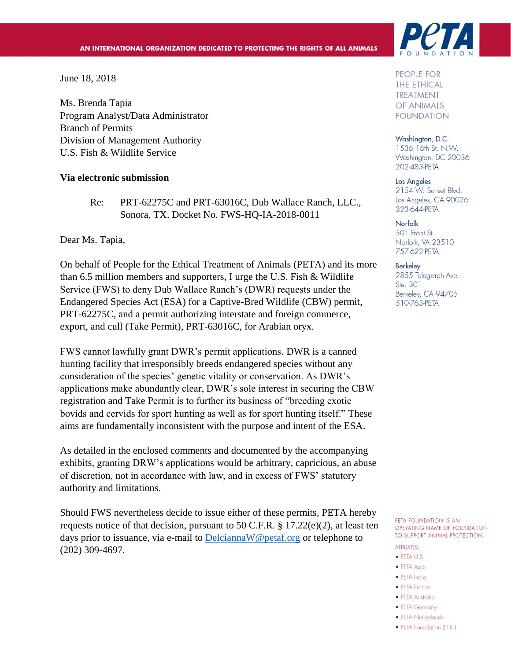June 18, 2018

Ms. Brenda Tapia Program Analyst/Data Administrator Branch of Permits Division of Management Authority U.S. Fish & Wildlife Service

#### **Via electronic submission**

Re: PRT-62275C and PRT-63016C, Dub Wallace Ranch, LLC., Sonora, TX. Docket No. FWS-HQ-IA-2018-0011

Dear Ms. Tapia,

On behalf of People for the Ethical Treatment of Animals (PETA) and its more than 6.5 million members and supporters, I urge the U.S. Fish & Wildlife Service (FWS) to deny Dub Wallace Ranch's (DWR) requests under the Endangered Species Act (ESA) for a Captive-Bred Wildlife (CBW) permit, PRT-62275C, and a permit authorizing interstate and foreign commerce, export, and cull (Take Permit), PRT-63016C, for Arabian oryx.

FWS cannot lawfully grant DWR's permit applications. DWR is a canned hunting facility that irresponsibly breeds endangered species without any consideration of the species' genetic vitality or conservation. As DWR's applications make abundantly clear, DWR's sole interest in securing the CBW registration and Take Permit is to further its business of "breeding exotic bovids and cervids for sport hunting as well as for sport hunting itself." These aims are fundamentally inconsistent with the purpose and intent of the ESA.

As detailed in the enclosed comments and documented by the accompanying exhibits, granting DRW's applications would be arbitrary, capricious, an abuse of discretion, not in accordance with law, and in excess of FWS' statutory authority and limitations.

Should FWS nevertheless decide to issue either of these permits, PETA hereby requests notice of that decision, pursuant to 50 C.F.R.  $\S 17.22(e)(2)$ , at least ten days prior to issuance, via e-mail to [DelciannaW@petaf.org](mailto:DelciannaW@petaf.org) or telephone to (202) 309-4697.



PEOPLE FOR **THE ETHICAL TREATMENT** OF ANIMALS **FOUNDATION** 

Washington, D.C. 1536 16th St. N.W. Washington, DC 20036 202-483-PETA

Los Angeles 2154 W. Sunset Blvd. Los Angeles, CA 90026 323-644-PETA

Norfolk 501 Front St. Norfolk, VA 23510 757-622-PETA

#### **Berkeley**

2855 Telegraph Ave. Ste. 301 Berkeley, CA 94705 510-763-PETA

PETA FOUNDATION IS AN OPERATING NAME OF FOUNDATION TO SUPPORT ANIMAL PROTECTION.

- **AFFILIATES:**
- · PETA U.S.
- PETA Asia
- · PETA India
- PETA France
- · PETA Australia
- PETA Germany
- PETA Netherlands
- PETA Foundation (U.K.)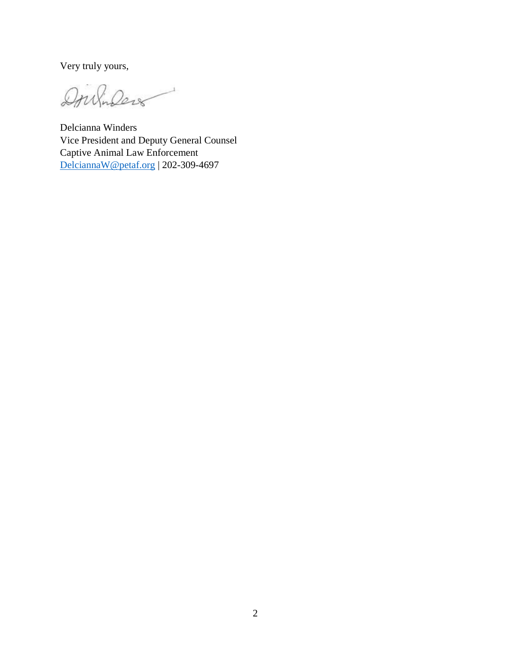Very truly yours,

Doubilers

Delcianna Winders Vice President and Deputy General Counsel Captive Animal Law Enforcement [DelciannaW@petaf.org](mailto:DelciannaW@petaf.org) | 202-309-4697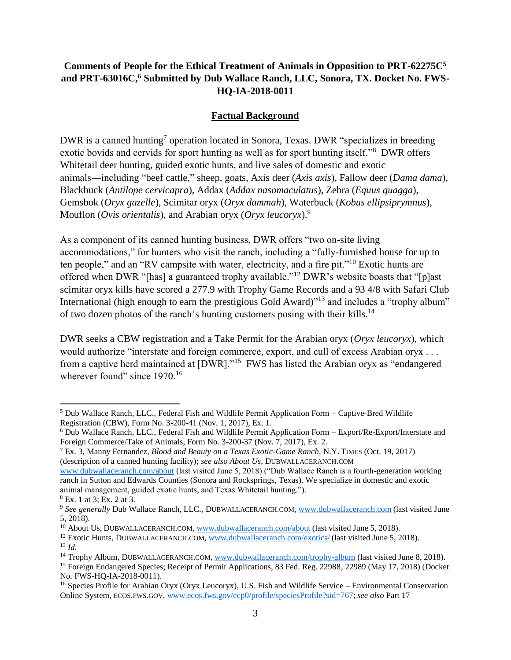# **Comments of People for the Ethical Treatment of Animals in Opposition to PRT-62275C<sup>5</sup> and PRT-63016C,<sup>6</sup> Submitted by Dub Wallace Ranch, LLC, Sonora, TX. Docket No. FWS-HQ-IA-2018-0011**

#### **Factual Background**

DWR is a canned hunting<sup>7</sup> operation located in Sonora, Texas. DWR "specializes in breeding exotic bovids and cervids for sport hunting as well as for sport hunting itself."<sup>8</sup> DWR offers Whitetail deer hunting, guided exotic hunts, and live sales of domestic and exotic animals―including "beef cattle," sheep, goats, Axis deer (*Axis axis*), Fallow deer (*Dama dama*), Blackbuck (*Antilope cervicapra*), Addax (*Addax nasomaculatus*), Zebra (*Equus quagga*), Gemsbok (*Oryx gazelle*), Scimitar oryx (*Oryx dammah*), Waterbuck (*Kobus ellipsiprymnus*), Mouflon (*Ovis orientalis*), and Arabian oryx (*Oryx leucoryx*).<sup>9</sup>

As a component of its canned hunting business, DWR offers "two on-site living accommodations," for hunters who visit the ranch, including a "fully-furnished house for up to ten people," and an "RV campsite with water, electricity, and a fire pit."<sup>10</sup> Exotic hunts are offered when DWR "[has] a guaranteed trophy available."<sup>12</sup> DWR's website boasts that "[p]ast scimitar oryx kills have scored a 277.9 with Trophy Game Records and a 93 4/8 with Safari Club International (high enough to earn the prestigious Gold Award)<sup>"13</sup> and includes a "trophy album" of two dozen photos of the ranch's hunting customers posing with their kills.<sup>14</sup>

DWR seeks a CBW registration and a Take Permit for the Arabian oryx (*Oryx leucoryx*), which would authorize "interstate and foreign commerce, export, and cull of excess Arabian oryx . . . from a captive herd maintained at [DWR]."<sup>15</sup> FWS has listed the Arabian oryx as "endangered wherever found" since 1970.<sup>16</sup>

[www.dubwallaceranch.com/about](http://www.dubwallaceranch.com/about) (last visited June 5, 2018) ("Dub Wallace Ranch is a fourth-generation working ranch in Sutton and Edwards Counties (Sonora and Rocksprings, Texas). We specialize in domestic and exotic animal management, guided exotic hunts, and Texas Whitetail hunting.").

 $\overline{a}$ 

<sup>5</sup> Dub Wallace Ranch, LLC., Federal Fish and Wildlife Permit Application Form – Captive-Bred Wildlife Registration (CBW), Form No. 3-200-41 (Nov. 1, 2017), Ex. 1.

<sup>6</sup> Dub Wallace Ranch, LLC., Federal Fish and Wildlife Permit Application Form – Export/Re-Export/Interstate and Foreign Commerce/Take of Animals, Form No. 3-200-37 (Nov. 7, 2017), Ex. 2.

<sup>7</sup> Ex. 3, Manny Fernandez, *Blood and Beauty on a Texas Exotic-Game Ranch*, N.Y. TIMES (Oct. 19, 2017) (description of a canned hunting facility); *see also About Us*, DUBWALLACERANCH.COM

<sup>8</sup> Ex. 1 at 3; Ex. 2 at 3.

<sup>&</sup>lt;sup>9</sup> See generally Dub Wallace Ranch, LLC., DUBWALLACERANCH.COM, [www.dubwallaceranch.com](http://www.dubwallaceranch.com/) (last visited June 5, 2018).

<sup>&</sup>lt;sup>10</sup> About Us, DUBWALLACERANCH.COM, [www.dubwallaceranch.com/about](http://www.dubwallaceranch.com/about) (last visited June 5, 2018).

<sup>&</sup>lt;sup>12</sup> Exotic Hunts, DUBWALLACERANCH.COM, [www.dubwallaceranch.com/exotics/](http://www.dubwallaceranch.com/exotics/) (last visited June 5, 2018).  $^{13}$  *Id.* 

<sup>14</sup> Trophy Album, DUBWALLACERANCH.COM, [www.dubwallaceranch.com/trophy-album](http://www.dubwallaceranch.com/trophy-album) (last visited June 8, 2018).

<sup>&</sup>lt;sup>15</sup> Foreign Endangered Species; Receipt of Permit Applications, 83 Fed. Reg. 22988, 22989 (May 17, 2018) (Docket No. FWS-HQ-IA-2018-0011).

<sup>&</sup>lt;sup>16</sup> Species Profile for Arabian Oryx (Oryx Leucoryx), U.S. Fish and Wildlife Service – Environmental Conservation Online System, ECOS.FWS.GOV, [www.ecos.fws.gov/ecp0/profile/speciesProfile?sid=767;](http://www.ecos.fws.gov/ecp0/profile/speciesProfile?sid=767)*see also* Part 17 –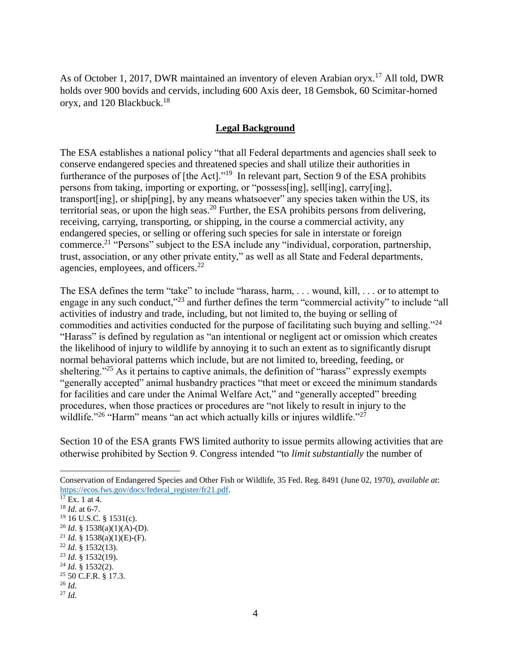As of October 1, 2017, DWR maintained an inventory of eleven Arabian oryx.<sup>17</sup> All told, DWR holds over 900 bovids and cervids, including 600 Axis deer, 18 Gemsbok, 60 Scimitar-horned oryx, and 120 Blackbuck.<sup>18</sup>

#### **Legal Background**

The ESA establishes a national policy "that all Federal departments and agencies shall seek to conserve endangered species and threatened species and shall utilize their authorities in furtherance of the purposes of [the Act]."<sup>19</sup> In relevant part, Section 9 of the ESA prohibits persons from taking, importing or exporting, or "possess[ing], sell[ing], carry[ing], transport[ing], or ship[ping], by any means whatsoever" any species taken within the US, its territorial seas, or upon the high seas.<sup>20</sup> Further, the ESA prohibits persons from delivering, receiving, carrying, transporting, or shipping, in the course a commercial activity, any endangered species, or selling or offering such species for sale in interstate or foreign commerce.<sup>21</sup> "Persons" subject to the ESA include any "individual, corporation, partnership, trust, association, or any other private entity," as well as all State and Federal departments, agencies, employees, and officers.<sup>22</sup>

The ESA defines the term "take" to include "harass, harm, . . . wound, kill, . . . or to attempt to engage in any such conduct,"<sup>23</sup> and further defines the term "commercial activity" to include "all activities of industry and trade, including, but not limited to, the buying or selling of commodities and activities conducted for the purpose of facilitating such buying and selling."<sup>24</sup> "Harass" is defined by regulation as "an intentional or negligent act or omission which creates the likelihood of injury to wildlife by annoying it to such an extent as to significantly disrupt normal behavioral patterns which include, but are not limited to, breeding, feeding, or sheltering."<sup>25</sup> As it pertains to captive animals, the definition of "harass" expressly exempts "generally accepted" animal husbandry practices "that meet or exceed the minimum standards for facilities and care under the Animal Welfare Act," and "generally accepted" breeding procedures, when those practices or procedures are "not likely to result in injury to the wildlife."<sup>26</sup> "Harm" means "an act which actually kills or injures wildlife."<sup>27</sup>

Section 10 of the ESA grants FWS limited authority to issue permits allowing activities that are otherwise prohibited by Section 9. Congress intended "to *limit substantially* the number of

Conservation of Endangered Species and Other Fish or Wildlife, 35 Fed. Reg. 8491 (June 02, 1970), *available at*: [https://ecos.fws.gov/docs/federal\\_register/fr21.pdf.](https://ecos.fws.gov/docs/federal_register/fr21.pdf)

 $17$  Ex. 1 at 4.

<sup>18</sup> *Id*. at 6-7.

 $19$  16 U.S.C. § 1531(c).

<sup>&</sup>lt;sup>20</sup> *Id.* § 1538(a)(1)(A)-(D).

<sup>&</sup>lt;sup>21</sup> *Id.* § 1538(a)(1)(E)-(F).

<sup>22</sup> *Id.* § 1532(13).

<sup>23</sup> *Id.* § 1532(19).

<sup>24</sup> *Id.* § 1532(2).

<sup>25</sup> 50 C.F.R. § 17.3.

<sup>26</sup> *Id.*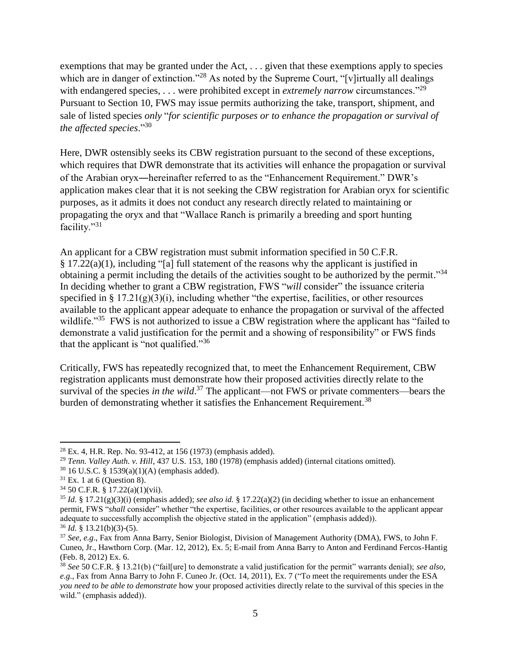exemptions that may be granted under the Act, . . . given that these exemptions apply to species which are in danger of extinction."<sup>28</sup> As noted by the Supreme Court, "[v]irtually all dealings with endangered species, . . . were prohibited except in *extremely narrow* circumstances."<sup>29</sup> Pursuant to Section 10, FWS may issue permits authorizing the take, transport, shipment, and sale of listed species *only* "*for scientific purposes or to enhance the propagation or survival of the affected species*."<sup>30</sup>

Here, DWR ostensibly seeks its CBW registration pursuant to the second of these exceptions, which requires that DWR demonstrate that its activities will enhance the propagation or survival of the Arabian oryx―hereinafter referred to as the "Enhancement Requirement." DWR's application makes clear that it is not seeking the CBW registration for Arabian oryx for scientific purposes, as it admits it does not conduct any research directly related to maintaining or propagating the oryx and that "Wallace Ranch is primarily a breeding and sport hunting facility."<sup>31</sup>

An applicant for a CBW registration must submit information specified in 50 C.F.R. § 17.22(a)(1), including "[a] full statement of the reasons why the applicant is justified in obtaining a permit including the details of the activities sought to be authorized by the permit."<sup>34</sup> In deciding whether to grant a CBW registration, FWS "*will* consider" the issuance criteria specified in  $\S 17.21(g)(3)(i)$ , including whether "the expertise, facilities, or other resources available to the applicant appear adequate to enhance the propagation or survival of the affected wildlife."<sup>35</sup> FWS is not authorized to issue a CBW registration where the applicant has "failed to demonstrate a valid justification for the permit and a showing of responsibility" or FWS finds that the applicant is "not qualified."<sup>36</sup>

Critically, FWS has repeatedly recognized that, to meet the Enhancement Requirement, CBW registration applicants must demonstrate how their proposed activities directly relate to the survival of the species *in the wild*.<sup>37</sup> The applicant—not FWS or private commenters—bears the burden of demonstrating whether it satisfies the Enhancement Requirement.<sup>38</sup>

 $\overline{\phantom{a}}$  $28$  Ex. 4, H.R. Rep. No. 93-412, at 156 (1973) (emphasis added).

<sup>29</sup> *Tenn. Valley Auth. v. Hill*, 437 U.S. 153, 180 (1978) (emphasis added) (internal citations omitted).

<sup>30</sup> 16 U.S.C. § 1539(a)(1)(A) (emphasis added).

 $31$  Ex. 1 at 6 (Question 8).

<sup>34</sup> 50 C.F.R. § 17.22(a)(1)(vii).

<sup>35</sup> *Id.* § 17.21(g)(3)(i) (emphasis added); *see also id.* § 17.22(a)(2) (in deciding whether to issue an enhancement permit, FWS "*shall* consider" whether "the expertise, facilities, or other resources available to the applicant appear adequate to successfully accomplish the objective stated in the application" (emphasis added)).  $36$  *Id.* § 13.21(b)(3)-(5).

<sup>37</sup> *See, e.g*., Fax from Anna Barry, Senior Biologist, Division of Management Authority (DMA), FWS, to John F. Cuneo, Jr., Hawthorn Corp. (Mar. 12, 2012), Ex. 5; E-mail from Anna Barry to Anton and Ferdinand Fercos-Hantig (Feb. 8, 2012) Ex. 6.

<sup>38</sup> *See* 50 C.F.R. § 13.21(b) ("fail[ure] to demonstrate a valid justification for the permit" warrants denial); *see also, e.g.*, Fax from Anna Barry to John F. Cuneo Jr. (Oct. 14, 2011), Ex. 7 ("To meet the requirements under the ESA *you need to be able to demonstrate* how your proposed activities directly relate to the survival of this species in the wild." (emphasis added)).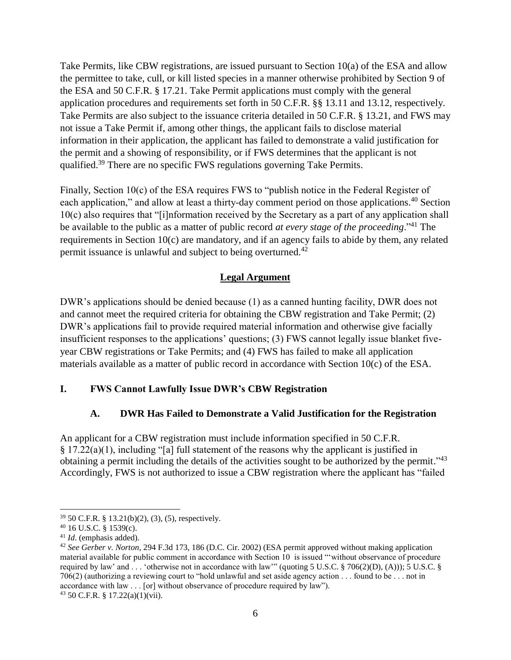Take Permits, like CBW registrations, are issued pursuant to Section 10(a) of the ESA and allow the permittee to take, cull, or kill listed species in a manner otherwise prohibited by Section 9 of the ESA and 50 C.F.R. § 17.21. Take Permit applications must comply with the general application procedures and requirements set forth in 50 C.F.R. §§ 13.11 and 13.12, respectively. Take Permits are also subject to the issuance criteria detailed in 50 C.F.R. § 13.21, and FWS may not issue a Take Permit if, among other things, the applicant fails to disclose material information in their application, the applicant has failed to demonstrate a valid justification for the permit and a showing of responsibility, or if FWS determines that the applicant is not qualified.<sup>39</sup> There are no specific FWS regulations governing Take Permits.

Finally, Section 10(c) of the ESA requires FWS to "publish notice in the Federal Register of each application," and allow at least a thirty-day comment period on those applications.<sup>40</sup> Section 10(c) also requires that "[i]nformation received by the Secretary as a part of any application shall be available to the public as a matter of public record *at every stage of the proceeding*."<sup>41</sup> The requirements in Section 10(c) are mandatory, and if an agency fails to abide by them, any related permit issuance is unlawful and subject to being overturned.<sup>42</sup>

# **Legal Argument**

DWR's applications should be denied because (1) as a canned hunting facility, DWR does not and cannot meet the required criteria for obtaining the CBW registration and Take Permit; (2) DWR's applications fail to provide required material information and otherwise give facially insufficient responses to the applications' questions; (3) FWS cannot legally issue blanket fiveyear CBW registrations or Take Permits; and (4) FWS has failed to make all application materials available as a matter of public record in accordance with Section 10(c) of the ESA.

### **I. FWS Cannot Lawfully Issue DWR's CBW Registration**

### **A. DWR Has Failed to Demonstrate a Valid Justification for the Registration**

An applicant for a CBW registration must include information specified in 50 C.F.R. § 17.22(a)(1), including "[a] full statement of the reasons why the applicant is justified in obtaining a permit including the details of the activities sought to be authorized by the permit."<sup>43</sup> Accordingly, FWS is not authorized to issue a CBW registration where the applicant has "failed

 $\overline{\phantom{a}}$ <sup>39</sup> 50 C.F.R. § 13.21(b)(2), (3), (5), respectively.

<sup>40</sup> 16 U.S.C. § 1539(c).

<sup>41</sup> *Id*. (emphasis added).

<sup>42</sup> *See Gerber v. Norton*, 294 F.3d 173, 186 (D.C. Cir. 2002) (ESA permit approved without making application material available for public comment in accordance with Section 10 is issued "'without observance of procedure required by law' and . . . 'otherwise not in accordance with law'" (quoting 5 U.S.C. § 706(2)(D), (A))); 5 U.S.C. § 706(2) (authorizing a reviewing court to "hold unlawful and set aside agency action . . . found to be . . . not in accordance with law . . . [or] without observance of procedure required by law").

<sup>43</sup> 50 C.F.R. § 17.22(a)(1)(vii).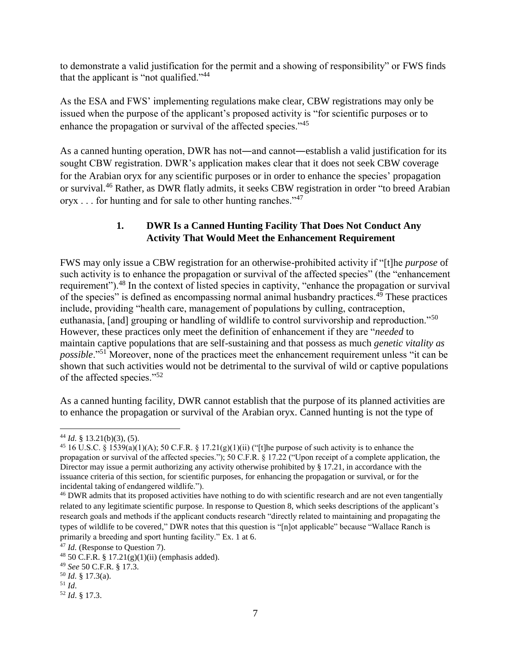to demonstrate a valid justification for the permit and a showing of responsibility" or FWS finds that the applicant is "not qualified."<sup>44</sup>

As the ESA and FWS' implementing regulations make clear, CBW registrations may only be issued when the purpose of the applicant's proposed activity is "for scientific purposes or to enhance the propagation or survival of the affected species."<sup>45</sup>

As a canned hunting operation, DWR has not—and cannot—establish a valid justification for its sought CBW registration. DWR's application makes clear that it does not seek CBW coverage for the Arabian oryx for any scientific purposes or in order to enhance the species' propagation or survival.<sup>46</sup> Rather, as DWR flatly admits, it seeks CBW registration in order "to breed Arabian  $oryx \dots$  for hunting and for sale to other hunting ranches."<sup>47</sup>

# **1. DWR Is a Canned Hunting Facility That Does Not Conduct Any Activity That Would Meet the Enhancement Requirement**

FWS may only issue a CBW registration for an otherwise-prohibited activity if "[t]he *purpose* of such activity is to enhance the propagation or survival of the affected species" (the "enhancement requirement").<sup>48</sup> In the context of listed species in captivity, "enhance the propagation or survival of the species" is defined as encompassing normal animal husbandry practices.<sup>49</sup> These practices include, providing "health care, management of populations by culling, contraception, euthanasia, [and] grouping or handling of wildlife to control survivorship and reproduction."<sup>50</sup> However, these practices only meet the definition of enhancement if they are "*needed* to maintain captive populations that are self-sustaining and that possess as much *genetic vitality as possible*."<sup>51</sup> Moreover, none of the practices meet the enhancement requirement unless "it can be shown that such activities would not be detrimental to the survival of wild or captive populations of the affected species."<sup>52</sup>

As a canned hunting facility, DWR cannot establish that the purpose of its planned activities are to enhance the propagation or survival of the Arabian oryx. Canned hunting is not the type of

 $\overline{a}$ <sup>44</sup> *Id.* § 13.21(b)(3), (5).

<sup>&</sup>lt;sup>45</sup> 16 U.S.C. § 1539(a)(1)(A); 50 C.F.R. § 17.21(g)(1)(ii) ("[t]he purpose of such activity is to enhance the propagation or survival of the affected species."); 50 C.F.R. § 17.22 ("Upon receipt of a complete application, the Director may issue a permit authorizing any activity otherwise prohibited by § 17.21, in accordance with the issuance criteria of this section, for scientific purposes, for enhancing the propagation or survival, or for the incidental taking of endangered wildlife.").

<sup>&</sup>lt;sup>46</sup> DWR admits that its proposed activities have nothing to do with scientific research and are not even tangentially related to any legitimate scientific purpose. In response to Question 8, which seeks descriptions of the applicant's research goals and methods if the applicant conducts research "directly related to maintaining and propagating the types of wildlife to be covered," DWR notes that this question is "[n]ot applicable" because "Wallace Ranch is primarily a breeding and sport hunting facility." Ex. 1 at 6.

<sup>47</sup> *Id.* (Response to Question 7).

 $48\,50\,$  C.F.R. § 17.21(g)(1)(ii) (emphasis added).

<sup>49</sup> *See* 50 C.F.R. § 17.3.

<sup>50</sup> *Id.* § 17.3(a).

<sup>51</sup> *Id*.

<sup>52</sup> *Id*. § 17.3.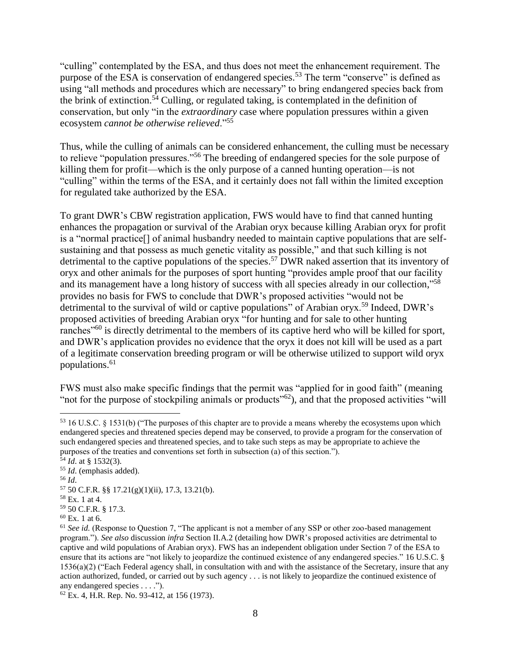"culling" contemplated by the ESA, and thus does not meet the enhancement requirement. The purpose of the ESA is conservation of endangered species.<sup>53</sup> The term "conserve" is defined as using "all methods and procedures which are necessary" to bring endangered species back from the brink of extinction.<sup>54</sup> Culling, or regulated taking, is contemplated in the definition of conservation, but only "in the *extraordinary* case where population pressures within a given ecosystem *cannot be otherwise relieved*."<sup>55</sup>

Thus, while the culling of animals can be considered enhancement, the culling must be necessary to relieve "population pressures."<sup>56</sup> The breeding of endangered species for the sole purpose of killing them for profit—which is the only purpose of a canned hunting operation—is not "culling" within the terms of the ESA, and it certainly does not fall within the limited exception for regulated take authorized by the ESA.

To grant DWR's CBW registration application, FWS would have to find that canned hunting enhances the propagation or survival of the Arabian oryx because killing Arabian oryx for profit is a "normal practice[] of animal husbandry needed to maintain captive populations that are selfsustaining and that possess as much genetic vitality as possible," and that such killing is not detrimental to the captive populations of the species.<sup>57</sup> DWR naked assertion that its inventory of oryx and other animals for the purposes of sport hunting "provides ample proof that our facility and its management have a long history of success with all species already in our collection,"<sup>58</sup> provides no basis for FWS to conclude that DWR's proposed activities "would not be detrimental to the survival of wild or captive populations" of Arabian oryx.<sup>59</sup> Indeed, DWR's proposed activities of breeding Arabian oryx "for hunting and for sale to other hunting ranches<sup>"60</sup> is directly detrimental to the members of its captive herd who will be killed for sport, and DWR's application provides no evidence that the oryx it does not kill will be used as a part of a legitimate conservation breeding program or will be otherwise utilized to support wild oryx populations.<sup>61</sup>

FWS must also make specific findings that the permit was "applied for in good faith" (meaning "not for the purpose of stockpiling animals or products<sup>"62</sup>), and that the proposed activities "will"

<sup>56</sup> *Id*.

<sup>53</sup> 16 U.S.C. § 1531(b) ("The purposes of this chapter are to provide a means whereby the ecosystems upon which endangered species and threatened species depend may be conserved, to provide a program for the conservation of such endangered species and threatened species, and to take such steps as may be appropriate to achieve the purposes of the treaties and conventions set forth in subsection (a) of this section.").

 $\frac{54}{1}$ *Id.* at § 1532(3).

<sup>55</sup> *Id*. (emphasis added).

 $57$  50 C.F.R. §§ 17.21(g)(1)(ii), 17.3, 13.21(b).

<sup>58</sup> Ex. 1 at 4.

<sup>59</sup> 50 C.F.R. § 17.3.

 $60$  Ex. 1 at 6.

<sup>61</sup> *See id.* (Response to Question 7, "The applicant is not a member of any SSP or other zoo-based management program."). *See also* discussion *infra* Section II.A.2 (detailing how DWR's proposed activities are detrimental to captive and wild populations of Arabian oryx). FWS has an independent obligation under Section 7 of the ESA to ensure that its actions are "not likely to jeopardize the continued existence of any endangered species." 16 U.S.C. §  $1536(a)(2)$  ("Each Federal agency shall, in consultation with and with the assistance of the Secretary, insure that any action authorized, funded, or carried out by such agency . . . is not likely to jeopardize the continued existence of any endangered species . . . .").

 $62$  Ex. 4, H.R. Rep. No. 93-412, at 156 (1973).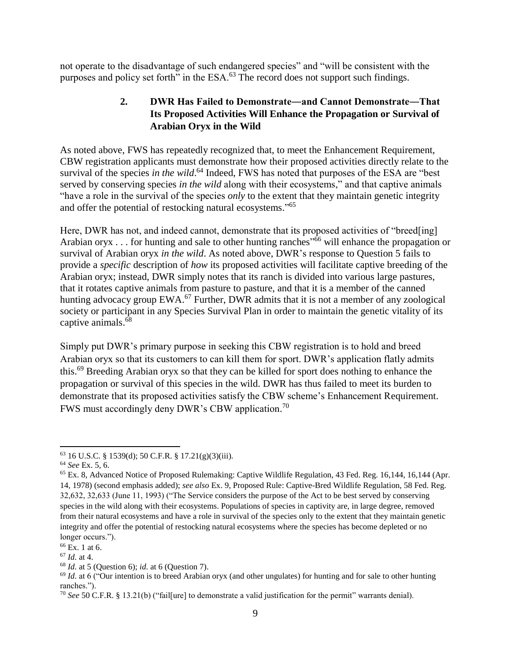not operate to the disadvantage of such endangered species" and "will be consistent with the purposes and policy set forth" in the ESA.<sup>63</sup> The record does not support such findings.

# **2. DWR Has Failed to Demonstrate―and Cannot Demonstrate―That Its Proposed Activities Will Enhance the Propagation or Survival of Arabian Oryx in the Wild**

As noted above, FWS has repeatedly recognized that, to meet the Enhancement Requirement, CBW registration applicants must demonstrate how their proposed activities directly relate to the survival of the species *in the wild*.<sup>64</sup> Indeed, FWS has noted that purposes of the ESA are "best served by conserving species *in the wild* along with their ecosystems," and that captive animals "have a role in the survival of the species *only* to the extent that they maintain genetic integrity and offer the potential of restocking natural ecosystems."<sup>65</sup>

Here, DWR has not, and indeed cannot, demonstrate that its proposed activities of "breed[ing] Arabian oryx . . . for hunting and sale to other hunting ranches<sup>366</sup> will enhance the propagation or survival of Arabian oryx *in the wild*. As noted above, DWR's response to Question 5 fails to provide a *specific* description of *how* its proposed activities will facilitate captive breeding of the Arabian oryx; instead, DWR simply notes that its ranch is divided into various large pastures, that it rotates captive animals from pasture to pasture, and that it is a member of the canned hunting advocacy group EWA.<sup>67</sup> Further, DWR admits that it is not a member of any zoological society or participant in any Species Survival Plan in order to maintain the genetic vitality of its captive animals.<sup>68</sup>

Simply put DWR's primary purpose in seeking this CBW registration is to hold and breed Arabian oryx so that its customers to can kill them for sport. DWR's application flatly admits this.<sup>69</sup> Breeding Arabian oryx so that they can be killed for sport does nothing to enhance the propagation or survival of this species in the wild. DWR has thus failed to meet its burden to demonstrate that its proposed activities satisfy the CBW scheme's Enhancement Requirement. FWS must accordingly deny DWR's CBW application.<sup>70</sup>

 $\overline{\phantom{a}}$  $63$  16 U.S.C. § 1539(d); 50 C.F.R. § 17.21(g)(3)(iii).

<sup>64</sup> *See* Ex. 5, 6.

 $<sup>65</sup>$  Ex. 8, Advanced Notice of Proposed Rulemaking: Captive Wildlife Regulation, 43 Fed. Reg. 16,144, 16,144 (Apr.</sup> 14, 1978) (second emphasis added); *see also* Ex. 9, Proposed Rule: Captive-Bred Wildlife Regulation, 58 Fed. Reg. 32,632, 32,633 (June 11, 1993) ("The Service considers the purpose of the Act to be best served by conserving species in the wild along with their ecosystems. Populations of species in captivity are, in large degree, removed from their natural ecosystems and have a role in survival of the species only to the extent that they maintain genetic integrity and offer the potential of restocking natural ecosystems where the species has become depleted or no longer occurs.").

 $66$  Ex. 1 at 6.

<sup>67</sup> *Id.* at 4.

<sup>68</sup> *Id.* at 5 (Question 6); *id.* at 6 (Question 7).

<sup>69</sup> *Id.* at 6 ("Our intention is to breed Arabian oryx (and other ungulates) for hunting and for sale to other hunting ranches.").

<sup>70</sup> *See* 50 C.F.R. § 13.21(b) ("fail[ure] to demonstrate a valid justification for the permit" warrants denial).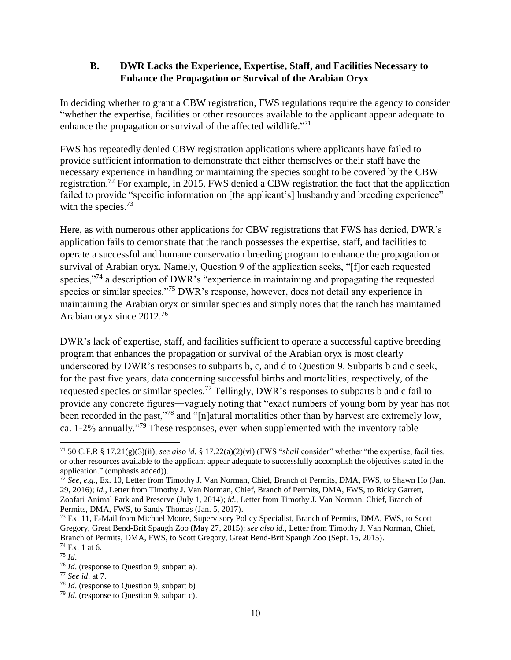## **B. DWR Lacks the Experience, Expertise, Staff, and Facilities Necessary to Enhance the Propagation or Survival of the Arabian Oryx**

In deciding whether to grant a CBW registration, FWS regulations require the agency to consider "whether the expertise, facilities or other resources available to the applicant appear adequate to enhance the propagation or survival of the affected wildlife."<sup>71</sup>

FWS has repeatedly denied CBW registration applications where applicants have failed to provide sufficient information to demonstrate that either themselves or their staff have the necessary experience in handling or maintaining the species sought to be covered by the CBW registration.<sup>72</sup> For example, in 2015, FWS denied a CBW registration the fact that the application failed to provide "specific information on [the applicant's] husbandry and breeding experience" with the species.<sup>73</sup>

Here, as with numerous other applications for CBW registrations that FWS has denied, DWR's application fails to demonstrate that the ranch possesses the expertise, staff, and facilities to operate a successful and humane conservation breeding program to enhance the propagation or survival of Arabian oryx. Namely, Question 9 of the application seeks, "[f]or each requested species,"<sup>74</sup> a description of DWR's "experience in maintaining and propagating the requested species or similar species."<sup>75</sup> DWR's response, however, does not detail any experience in maintaining the Arabian oryx or similar species and simply notes that the ranch has maintained Arabian oryx since 2012.<sup>76</sup>

DWR's lack of expertise, staff, and facilities sufficient to operate a successful captive breeding program that enhances the propagation or survival of the Arabian oryx is most clearly underscored by DWR's responses to subparts b, c, and d to Question 9. Subparts b and c seek, for the past five years, data concerning successful births and mortalities, respectively, of the requested species or similar species.<sup>77</sup> Tellingly, DWR's responses to subparts b and c fail to provide any concrete figures―vaguely noting that "exact numbers of young born by year has not been recorded in the past,"<sup>78</sup> and "[n]atural mortalities other than by harvest are extremely low, ca. 1-2% annually."<sup>79</sup> These responses, even when supplemented with the inventory table

<sup>71</sup> 50 C.F.R § 17.21(g)(3)(ii); *see also id.* § 17.22(a)(2)(vi) (FWS "*shall* consider" whether "the expertise, facilities, or other resources available to the applicant appear adequate to successfully accomplish the objectives stated in the application." (emphasis added)).

<sup>72</sup> *See, e.g.*, Ex. 10, Letter from Timothy J. Van Norman, Chief, Branch of Permits, DMA, FWS, to Shawn Ho (Jan. 29, 2016); *id.*, Letter from Timothy J. Van Norman, Chief, Branch of Permits, DMA, FWS, to Ricky Garrett, Zoofari Animal Park and Preserve (July 1, 2014); *id.*, Letter from Timothy J. Van Norman, Chief, Branch of Permits, DMA, FWS, to Sandy Thomas (Jan. 5, 2017).

<sup>&</sup>lt;sup>73</sup> Ex. 11, E-Mail from Michael Moore, Supervisory Policy Specialist, Branch of Permits, DMA, FWS, to Scott Gregory, Great Bend-Brit Spaugh Zoo (May 27, 2015); *see also id.*, Letter from Timothy J. Van Norman, Chief, Branch of Permits, DMA, FWS, to Scott Gregory, Great Bend-Brit Spaugh Zoo (Sept. 15, 2015). <sup>74</sup> Ex. 1 at 6.

<sup>75</sup> *Id*.

<sup>76</sup> *Id*. (response to Question 9, subpart a).

<sup>77</sup> *See id*. at 7.

<sup>78</sup> *Id*. (response to Question 9, subpart b)

<sup>79</sup> *Id*. (response to Question 9, subpart c).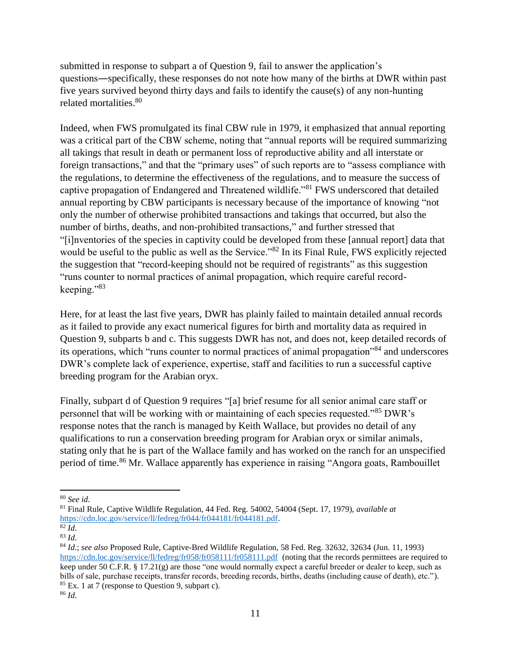submitted in response to subpart a of Question 9, fail to answer the application's questions―specifically, these responses do not note how many of the births at DWR within past five years survived beyond thirty days and fails to identify the cause(s) of any non-hunting related mortalities.<sup>80</sup>

Indeed, when FWS promulgated its final CBW rule in 1979, it emphasized that annual reporting was a critical part of the CBW scheme, noting that "annual reports will be required summarizing all takings that result in death or permanent loss of reproductive ability and all interstate or foreign transactions," and that the "primary uses" of such reports are to "assess compliance with the regulations, to determine the effectiveness of the regulations, and to measure the success of captive propagation of Endangered and Threatened wildlife."<sup>81</sup> FWS underscored that detailed annual reporting by CBW participants is necessary because of the importance of knowing "not only the number of otherwise prohibited transactions and takings that occurred, but also the number of births, deaths, and non-prohibited transactions," and further stressed that "[i]nventories of the species in captivity could be developed from these [annual report] data that would be useful to the public as well as the Service."<sup>82</sup> In its Final Rule, FWS explicitly rejected the suggestion that "record-keeping should not be required of registrants" as this suggestion "runs counter to normal practices of animal propagation, which require careful recordkeeping."<sup>83</sup>

Here, for at least the last five years, DWR has plainly failed to maintain detailed annual records as it failed to provide any exact numerical figures for birth and mortality data as required in Question 9, subparts b and c. This suggests DWR has not, and does not, keep detailed records of its operations, which "runs counter to normal practices of animal propagation"<sup>84</sup> and underscores DWR's complete lack of experience, expertise, staff and facilities to run a successful captive breeding program for the Arabian oryx.

Finally, subpart d of Question 9 requires "[a] brief resume for all senior animal care staff or personnel that will be working with or maintaining of each species requested."<sup>85</sup> DWR's response notes that the ranch is managed by Keith Wallace, but provides no detail of any qualifications to run a conservation breeding program for Arabian oryx or similar animals, stating only that he is part of the Wallace family and has worked on the ranch for an unspecified period of time.<sup>86</sup> Mr. Wallace apparently has experience in raising "Angora goats, Rambouillet

l <sup>80</sup> *See id*.

<sup>81</sup> Final Rule, Captive Wildlife Regulation, 44 Fed. Reg. 54002, 54004 (Sept. 17, 1979), *available at* [https://cdn.loc.gov/service/ll/fedreg/fr044/fr044181/fr044181.pdf.](https://cdn.loc.gov/service/ll/fedreg/fr044/fr044181/fr044181.pdf) 

 $\overline{82}$  *Id.* 

<sup>83</sup> *Id*.

<sup>84</sup> *Id*.; *see also* Proposed Rule, Captive-Bred Wildlife Regulation, 58 Fed. Reg. 32632, 32634 (Jun. 11, 1993) <https://cdn.loc.gov/service/ll/fedreg/fr058/fr058111/fr058111.pdf> (noting that the records permittees are required to keep under 50 C.F.R. § 17.21(g) are those "one would normally expect a careful breeder or dealer to keep, such as bills of sale, purchase receipts, transfer records, breeding records, births, deaths (including cause of death), etc."). <sup>85</sup> Ex. 1 at 7 (response to Question 9, subpart c). <sup>86</sup> *Id*.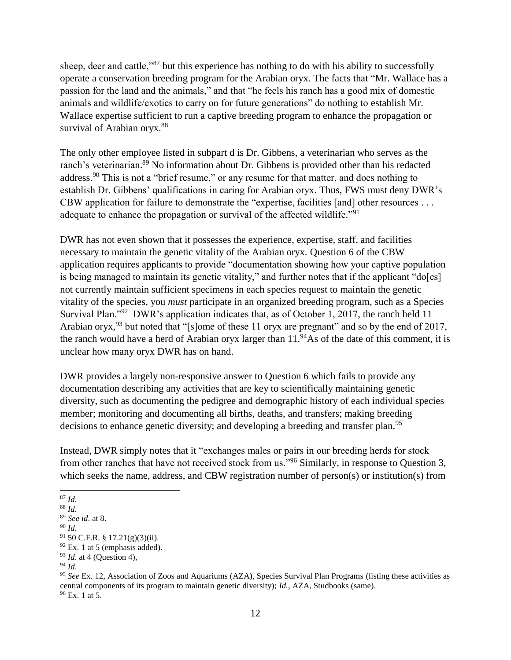sheep, deer and cattle,"<sup>87</sup> but this experience has nothing to do with his ability to successfully operate a conservation breeding program for the Arabian oryx. The facts that "Mr. Wallace has a passion for the land and the animals," and that "he feels his ranch has a good mix of domestic animals and wildlife/exotics to carry on for future generations" do nothing to establish Mr. Wallace expertise sufficient to run a captive breeding program to enhance the propagation or survival of Arabian oryx.<sup>88</sup>

The only other employee listed in subpart d is Dr. Gibbens, a veterinarian who serves as the ranch's veterinarian.<sup>89</sup> No information about Dr. Gibbens is provided other than his redacted address.<sup>90</sup> This is not a "brief resume," or any resume for that matter, and does nothing to establish Dr. Gibbens' qualifications in caring for Arabian oryx. Thus, FWS must deny DWR's CBW application for failure to demonstrate the "expertise, facilities [and] other resources . . . adequate to enhance the propagation or survival of the affected wildlife."<sup>91</sup>

DWR has not even shown that it possesses the experience, expertise, staff, and facilities necessary to maintain the genetic vitality of the Arabian oryx. Question 6 of the CBW application requires applicants to provide "documentation showing how your captive population is being managed to maintain its genetic vitality," and further notes that if the applicant "do[es] not currently maintain sufficient specimens in each species request to maintain the genetic vitality of the species, you *must* participate in an organized breeding program, such as a Species Survival Plan."<sup>92</sup> DWR's application indicates that, as of October 1, 2017, the ranch held 11 Arabian oryx,<sup>93</sup> but noted that "[s]ome of these 11 oryx are pregnant" and so by the end of 2017, the ranch would have a herd of Arabian oryx larger than  $11.^{94}$ As of the date of this comment, it is unclear how many oryx DWR has on hand.

DWR provides a largely non-responsive answer to Question 6 which fails to provide any documentation describing any activities that are key to scientifically maintaining genetic diversity, such as documenting the pedigree and demographic history of each individual species member; monitoring and documenting all births, deaths, and transfers; making breeding decisions to enhance genetic diversity; and developing a breeding and transfer plan.<sup>95</sup>

Instead, DWR simply notes that it "exchanges males or pairs in our breeding herds for stock from other ranches that have not received stock from us."<sup>96</sup> Similarly, in response to Question 3, which seeks the name, address, and CBW registration number of person(s) or institution(s) from

l <sup>87</sup> *Id*.

<sup>88</sup> *Id*.

<sup>89</sup> *See id*. at 8.

<sup>90</sup> *Id*.

 $91$  50 C.F.R. § 17.21(g)(3)(ii).

 $92$  Ex. 1 at 5 (emphasis added).

<sup>93</sup> *Id*. at 4 (Question 4),

<sup>94</sup> *Id*.

<sup>95</sup> *See* Ex. 12, Association of Zoos and Aquariums (AZA), Species Survival Plan Programs (listing these activities as central components of its program to maintain genetic diversity); *Id.*, AZA, Studbooks (same). <sup>96</sup> Ex. 1 at 5.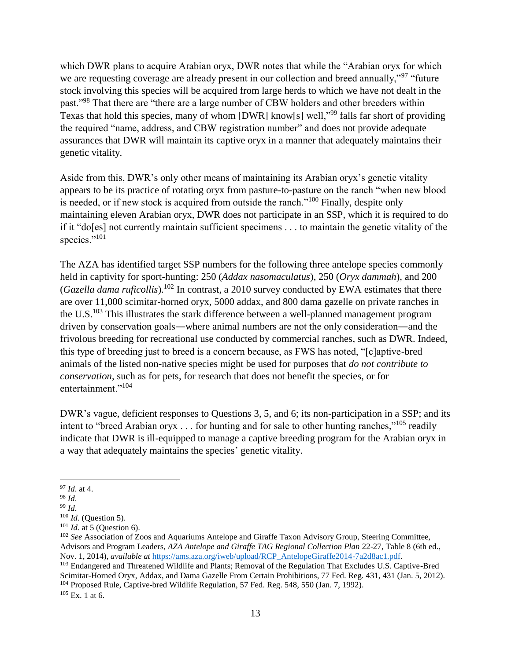which DWR plans to acquire Arabian oryx, DWR notes that while the "Arabian oryx for which we are requesting coverage are already present in our collection and breed annually,"<sup>97</sup> "future" stock involving this species will be acquired from large herds to which we have not dealt in the past."<sup>98</sup> That there are "there are a large number of CBW holders and other breeders within Texas that hold this species, many of whom [DWR] know[s] well,"<sup>99</sup> falls far short of providing the required "name, address, and CBW registration number" and does not provide adequate assurances that DWR will maintain its captive oryx in a manner that adequately maintains their genetic vitality.

Aside from this, DWR's only other means of maintaining its Arabian oryx's genetic vitality appears to be its practice of rotating oryx from pasture-to-pasture on the ranch "when new blood is needed, or if new stock is acquired from outside the ranch."<sup>100</sup> Finally, despite only maintaining eleven Arabian oryx, DWR does not participate in an SSP, which it is required to do if it "do[es] not currently maintain sufficient specimens . . . to maintain the genetic vitality of the species."<sup>101</sup>

The AZA has identified target SSP numbers for the following three antelope species commonly held in captivity for sport-hunting: 250 (*Addax nasomaculatus*), 250 (*Oryx dammah*), and 200 (*Gazella dama ruficollis*).<sup>102</sup> In contrast, a 2010 survey conducted by EWA estimates that there are over 11,000 scimitar-horned oryx, 5000 addax, and 800 dama gazelle on private ranches in the U.S.<sup>103</sup> This illustrates the stark difference between a well-planned management program driven by conservation goals―where animal numbers are not the only consideration―and the frivolous breeding for recreational use conducted by commercial ranches, such as DWR. Indeed, this type of breeding just to breed is a concern because, as FWS has noted, "[c]aptive-bred animals of the listed non-native species might be used for purposes that *do not contribute to conservation*, such as for pets, for research that does not benefit the species, or for entertainment."<sup>104</sup>

DWR's vague, deficient responses to Questions 3, 5, and 6; its non-participation in a SSP; and its intent to "breed Arabian oryx  $\dots$  for hunting and for sale to other hunting ranches,"<sup>105</sup> readily indicate that DWR is ill-equipped to manage a captive breeding program for the Arabian oryx in a way that adequately maintains the species' genetic vitality.

l <sup>97</sup> *Id*. at 4.

<sup>98</sup> *Id*.

<sup>99</sup> *Id*.

<sup>100</sup> *Id.* (Question 5).

<sup>101</sup> *Id.* at 5 (Question 6).

<sup>&</sup>lt;sup>102</sup> *See* Association of Zoos and Aquariums Antelope and Giraffe Taxon Advisory Group, Steering Committee, Advisors and Program Leaders, *AZA Antelope and Giraffe TAG Regional Collection Plan* 22-27, Table 8 (6th ed., Nov. 1, 2014), *available at* [https://ams.aza.org/iweb/upload/RCP\\_AntelopeGiraffe2014-7a2d8ac1.pdf.](https://ams.aza.org/iweb/upload/RCP_AntelopeGiraffe2014-7a2d8ac1.pdf)

<sup>103</sup> Endangered and Threatened Wildlife and Plants; Removal of the Regulation That Excludes U.S. Captive-Bred Scimitar-Horned Oryx, Addax, and Dama Gazelle From Certain Prohibitions, 77 Fed. Reg. 431, 431 (Jan. 5, 2012). <sup>104</sup> Proposed Rule, Captive-bred Wildlife Regulation, 57 Fed. Reg. 548, 550 (Jan. 7, 1992).

 $105$  Ex. 1 at 6.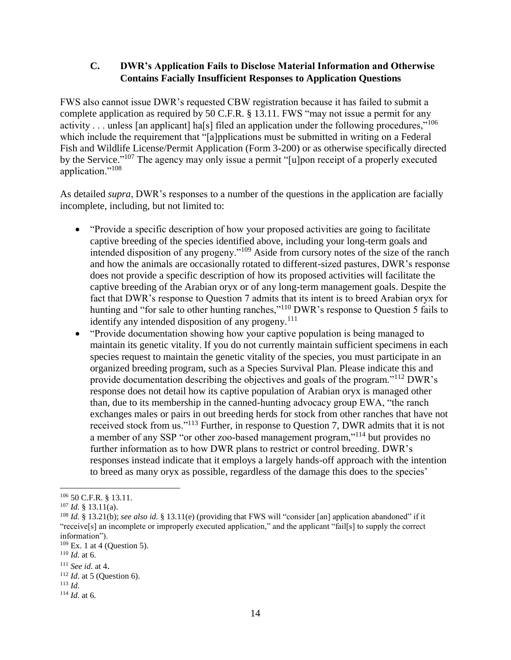## **C. DWR's Application Fails to Disclose Material Information and Otherwise Contains Facially Insufficient Responses to Application Questions**

FWS also cannot issue DWR's requested CBW registration because it has failed to submit a complete application as required by 50 C.F.R. § 13.11. FWS "may not issue a permit for any activity . . . unless [an applicant] ha[s] filed an application under the following procedures,"<sup>106</sup> which include the requirement that "[a]pplications must be submitted in writing on a Federal Fish and Wildlife License/Permit Application (Form 3-200) or as otherwise specifically directed by the Service."<sup>107</sup> The agency may only issue a permit "[u]pon receipt of a properly executed application."<sup>108</sup>

As detailed *supra*, DWR's responses to a number of the questions in the application are facially incomplete, including, but not limited to:

- "Provide a specific description of how your proposed activities are going to facilitate captive breeding of the species identified above, including your long-term goals and intended disposition of any progeny."<sup>109</sup> Aside from cursory notes of the size of the ranch and how the animals are occasionally rotated to different-sized pastures, DWR's response does not provide a specific description of how its proposed activities will facilitate the captive breeding of the Arabian oryx or of any long-term management goals. Despite the fact that DWR's response to Question 7 admits that its intent is to breed Arabian oryx for hunting and "for sale to other hunting ranches,"<sup>110</sup> DWR's response to Question 5 fails to identify any intended disposition of any progeny. $111$
- "Provide documentation showing how your captive population is being managed to maintain its genetic vitality. If you do not currently maintain sufficient specimens in each species request to maintain the genetic vitality of the species, you must participate in an organized breeding program, such as a Species Survival Plan. Please indicate this and provide documentation describing the objectives and goals of the program."<sup>112</sup> DWR's response does not detail how its captive population of Arabian oryx is managed other than, due to its membership in the canned-hunting advocacy group EWA, "the ranch exchanges males or pairs in out breeding herds for stock from other ranches that have not received stock from us."<sup>113</sup> Further, in response to Question 7, DWR admits that it is not a member of any SSP "or other zoo-based management program,"<sup>114</sup> but provides no further information as to how DWR plans to restrict or control breeding. DWR's responses instead indicate that it employs a largely hands-off approach with the intention to breed as many oryx as possible, regardless of the damage this does to the species'

 $\overline{a}$ 

<sup>106</sup> 50 C.F.R. § 13.11.

<sup>107</sup> *Id.* § 13.11(a).

<sup>108</sup> *Id.* § 13.21(b); *see also id.* § 13.11(e) (providing that FWS will "consider [an] application abandoned" if it "receive[s] an incomplete or improperly executed application," and the applicant "fail[s] to supply the correct information").

 $109$  Ex. 1 at 4 (Ouestion 5).

<sup>110</sup> *Id.* at 6.

<sup>111</sup> *See id*. at 4.

<sup>112</sup> *Id*. at 5 (Question 6).

<sup>113</sup> *Id*.

<sup>114</sup> *Id*. at 6.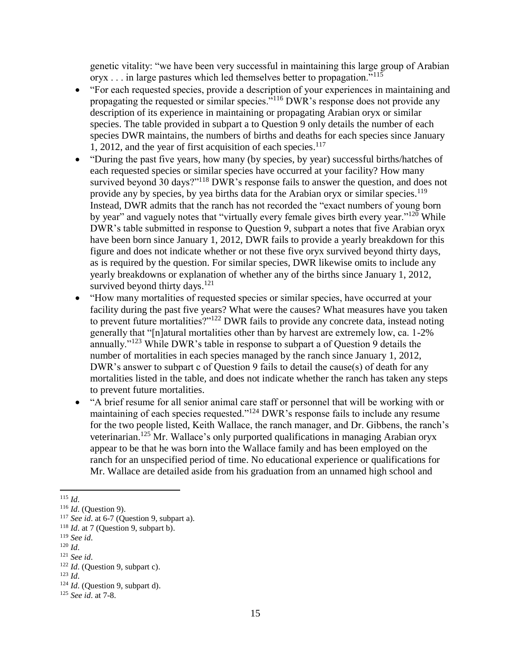genetic vitality: "we have been very successful in maintaining this large group of Arabian oryx . . . in large pastures which led themselves better to propagation."<sup>115</sup>

- "For each requested species, provide a description of your experiences in maintaining and propagating the requested or similar species."<sup>116</sup> DWR's response does not provide any description of its experience in maintaining or propagating Arabian oryx or similar species. The table provided in subpart a to Question 9 only details the number of each species DWR maintains, the numbers of births and deaths for each species since January 1, 2012, and the year of first acquisition of each species. $117$
- "During the past five years, how many (by species, by year) successful births/hatches of each requested species or similar species have occurred at your facility? How many survived beyond 30 days?"<sup>118</sup> DWR's response fails to answer the question, and does not provide any by species, by yea births data for the Arabian oryx or similar species.<sup>119</sup> Instead, DWR admits that the ranch has not recorded the "exact numbers of young born by year" and vaguely notes that "virtually every female gives birth every year."<sup>120</sup> While DWR's table submitted in response to Question 9, subpart a notes that five Arabian oryx have been born since January 1, 2012, DWR fails to provide a yearly breakdown for this figure and does not indicate whether or not these five oryx survived beyond thirty days, as is required by the question. For similar species, DWR likewise omits to include any yearly breakdowns or explanation of whether any of the births since January 1, 2012, survived beyond thirty days. $121$
- "How many mortalities of requested species or similar species, have occurred at your facility during the past five years? What were the causes? What measures have you taken to prevent future mortalities?"<sup>122</sup> DWR fails to provide any concrete data, instead noting generally that "[n]atural mortalities other than by harvest are extremely low, ca. 1-2% annually."<sup>123</sup> While DWR's table in response to subpart a of Question 9 details the number of mortalities in each species managed by the ranch since January 1, 2012, DWR's answer to subpart c of Question 9 fails to detail the cause(s) of death for any mortalities listed in the table, and does not indicate whether the ranch has taken any steps to prevent future mortalities.
- "A brief resume for all senior animal care staff or personnel that will be working with or maintaining of each species requested."<sup>124</sup> DWR's response fails to include any resume for the two people listed, Keith Wallace, the ranch manager, and Dr. Gibbens, the ranch's veterinarian.<sup>125</sup> Mr. Wallace's only purported qualifications in managing Arabian oryx appear to be that he was born into the Wallace family and has been employed on the ranch for an unspecified period of time. No educational experience or qualifications for Mr. Wallace are detailed aside from his graduation from an unnamed high school and

<sup>120</sup> *Id*.

l <sup>115</sup> *Id*.

<sup>116</sup> *Id*. (Question 9).

<sup>117</sup> *See id*. at 6-7 (Question 9, subpart a).

<sup>&</sup>lt;sup>118</sup> *Id.* at 7 (Question 9, subpart b).

<sup>119</sup> *See id*.

<sup>121</sup> *See id*.

<sup>122</sup> *Id*. (Question 9, subpart c).

<sup>123</sup> *Id*.

<sup>124</sup> *Id*. (Question 9, subpart d).

<sup>125</sup> *See id*. at 7-8.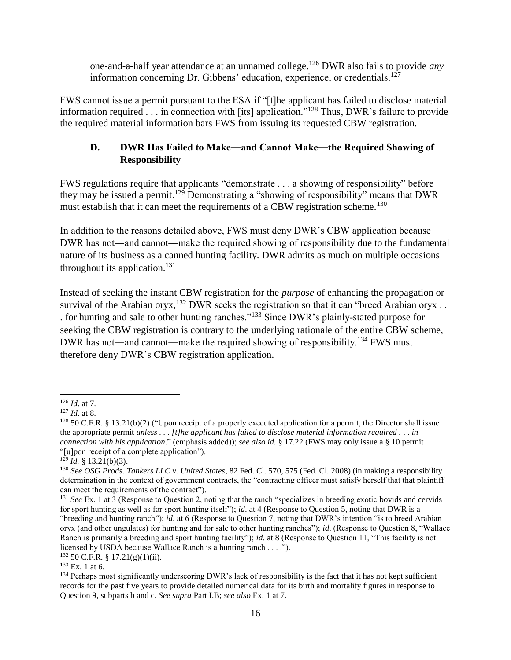one-and-a-half year attendance at an unnamed college.<sup>126</sup> DWR also fails to provide *any* information concerning Dr. Gibbens' education, experience, or credentials.<sup>127</sup>

FWS cannot issue a permit pursuant to the ESA if "[t]he applicant has failed to disclose material information required . . . in connection with [its] application."<sup>128</sup> Thus, DWR's failure to provide the required material information bars FWS from issuing its requested CBW registration.

# **D. DWR Has Failed to Make―and Cannot Make―the Required Showing of Responsibility**

FWS regulations require that applicants "demonstrate . . . a showing of responsibility" before they may be issued a permit.<sup>129</sup> Demonstrating a "showing of responsibility" means that DWR must establish that it can meet the requirements of a CBW registration scheme.<sup>130</sup>

In addition to the reasons detailed above, FWS must deny DWR's CBW application because DWR has not—and cannot—make the required showing of responsibility due to the fundamental nature of its business as a canned hunting facility. DWR admits as much on multiple occasions throughout its application.<sup>131</sup>

Instead of seeking the instant CBW registration for the *purpose* of enhancing the propagation or survival of the Arabian oryx,  $^{132}$  DWR seeks the registration so that it can "breed Arabian oryx ... . for hunting and sale to other hunting ranches."<sup>133</sup> Since DWR's plainly-stated purpose for seeking the CBW registration is contrary to the underlying rationale of the entire CBW scheme, DWR has not—and cannot—make the required showing of responsibility.<sup>134</sup> FWS must therefore deny DWR's CBW registration application.

 $132$  50 C.F.R. § 17.21(g)(1)(ii).

 $\overline{\phantom{a}}$ <sup>126</sup> *Id*. at 7.

<sup>127</sup> *Id*. at 8.

 $128$  50 C.F.R. § 13.21(b)(2) ("Upon receipt of a properly executed application for a permit, the Director shall issue the appropriate permit *unless . . . [t]he applicant has failed to disclose material information required . . . in connection with his application*." (emphasis added)); *see also id.* § 17.22 (FWS may only issue a § 10 permit "[u]pon receipt of a complete application").

 $\overline{129}$  *Id.* § 13.21(b)(3).

<sup>130</sup> *See OSG Prods. Tankers LLC v. United States*, 82 Fed. Cl. 570, 575 (Fed. Cl. 2008) (in making a responsibility determination in the context of government contracts, the "contracting officer must satisfy herself that that plaintiff can meet the requirements of the contract").

<sup>131</sup> *See* Ex. 1 at 3 (Response to Question 2, noting that the ranch "specializes in breeding exotic bovids and cervids for sport hunting as well as for sport hunting itself"); *id*. at 4 (Response to Question 5, noting that DWR is a "breeding and hunting ranch"); *id*. at 6 (Response to Question 7, noting that DWR's intention "is to breed Arabian oryx (and other ungulates) for hunting and for sale to other hunting ranches"); *id*. (Response to Question 8, "Wallace Ranch is primarily a breeding and sport hunting facility"); *id*. at 8 (Response to Question 11, "This facility is not licensed by USDA because Wallace Ranch is a hunting ranch . . . .").

 $133$  Ex. 1 at 6.

<sup>&</sup>lt;sup>134</sup> Perhaps most significantly underscoring DWR's lack of responsibility is the fact that it has not kept sufficient records for the past five years to provide detailed numerical data for its birth and mortality figures in response to Question 9, subparts b and c. *See supra* Part I.B; *see also* Ex. 1 at 7.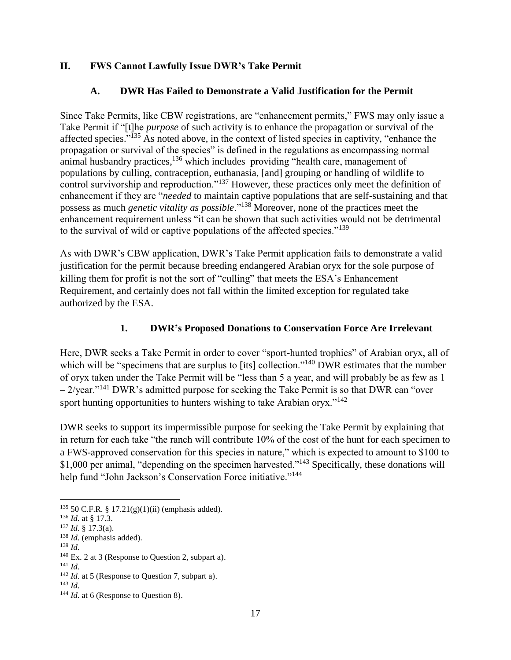## **II. FWS Cannot Lawfully Issue DWR's Take Permit**

## **A. DWR Has Failed to Demonstrate a Valid Justification for the Permit**

Since Take Permits, like CBW registrations, are "enhancement permits," FWS may only issue a Take Permit if "[t]he *purpose* of such activity is to enhance the propagation or survival of the affected species."<sup>135</sup> As noted above, in the context of listed species in captivity, "enhance the propagation or survival of the species" is defined in the regulations as encompassing normal animal husbandry practices,<sup>136</sup> which includes providing "health care, management of populations by culling, contraception, euthanasia, [and] grouping or handling of wildlife to control survivorship and reproduction."<sup>137</sup> However, these practices only meet the definition of enhancement if they are "*needed* to maintain captive populations that are self-sustaining and that possess as much *genetic vitality as possible*."<sup>138</sup> Moreover, none of the practices meet the enhancement requirement unless "it can be shown that such activities would not be detrimental to the survival of wild or captive populations of the affected species."<sup>139</sup>

As with DWR's CBW application, DWR's Take Permit application fails to demonstrate a valid justification for the permit because breeding endangered Arabian oryx for the sole purpose of killing them for profit is not the sort of "culling" that meets the ESA's Enhancement Requirement, and certainly does not fall within the limited exception for regulated take authorized by the ESA.

## **1. DWR's Proposed Donations to Conservation Force Are Irrelevant**

Here, DWR seeks a Take Permit in order to cover "sport-hunted trophies" of Arabian oryx, all of which will be "specimens that are surplus to [its] collection."<sup>140</sup> DWR estimates that the number of oryx taken under the Take Permit will be "less than 5 a year, and will probably be as few as 1  $-2$ /year."<sup>141</sup> DWR's admitted purpose for seeking the Take Permit is so that DWR can "over" sport hunting opportunities to hunters wishing to take Arabian oryx."<sup>142</sup>

DWR seeks to support its impermissible purpose for seeking the Take Permit by explaining that in return for each take "the ranch will contribute 10% of the cost of the hunt for each specimen to a FWS-approved conservation for this species in nature," which is expected to amount to \$100 to \$1,000 per animal, "depending on the specimen harvested."<sup>143</sup> Specifically, these donations will help fund "John Jackson's Conservation Force initiative."<sup>144</sup>

 $135$  50 C.F.R. § 17.21(g)(1)(ii) (emphasis added).

<sup>136</sup> *Id*. at § 17.3.

<sup>137</sup> *Id*. § 17.3(a).

<sup>138</sup> *Id*. (emphasis added).

<sup>139</sup> *Id*.

<sup>140</sup> Ex. 2 at 3 (Response to Question 2, subpart a).

<sup>141</sup> *Id*.

<sup>142</sup> *Id*. at 5 (Response to Question 7, subpart a).

<sup>143</sup> *Id*.

<sup>&</sup>lt;sup>144</sup> *Id.* at 6 (Response to Question 8).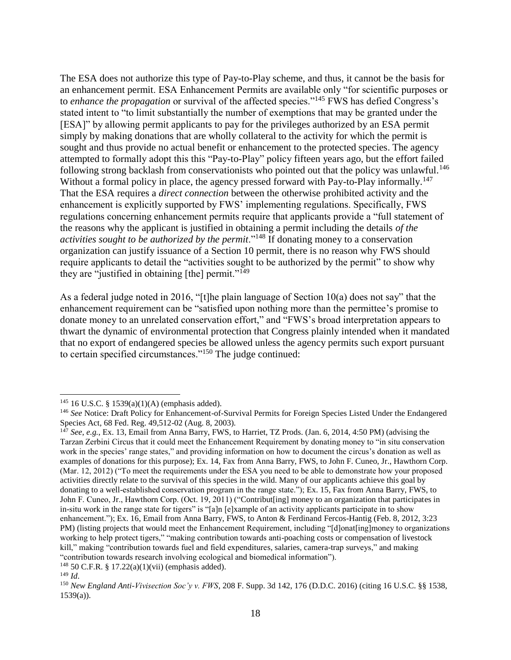The ESA does not authorize this type of Pay-to-Play scheme, and thus, it cannot be the basis for an enhancement permit. ESA Enhancement Permits are available only "for scientific purposes or to *enhance the propagation* or survival of the affected species."<sup>145</sup> FWS has defied Congress's stated intent to "to limit substantially the number of exemptions that may be granted under the [ESA]" by allowing permit applicants to pay for the privileges authorized by an ESA permit simply by making donations that are wholly collateral to the activity for which the permit is sought and thus provide no actual benefit or enhancement to the protected species. The agency attempted to formally adopt this this "Pay-to-Play" policy fifteen years ago, but the effort failed following strong backlash from conservationists who pointed out that the policy was unlawful.<sup>146</sup> Without a formal policy in place, the agency pressed forward with Pay-to-Play informally.<sup>147</sup> That the ESA requires a *direct connection* between the otherwise prohibited activity and the enhancement is explicitly supported by FWS' implementing regulations. Specifically, FWS regulations concerning enhancement permits require that applicants provide a "full statement of the reasons why the applicant is justified in obtaining a permit including the details *of the activities sought to be authorized by the permit*."<sup>148</sup> If donating money to a conservation organization can justify issuance of a Section 10 permit, there is no reason why FWS should require applicants to detail the "activities sought to be authorized by the permit" to show why they are "justified in obtaining [the] permit."<sup>149</sup>

As a federal judge noted in 2016, "[t]he plain language of Section 10(a) does not say" that the enhancement requirement can be "satisfied upon nothing more than the permittee's promise to donate money to an unrelated conservation effort," and "FWS's broad interpretation appears to thwart the dynamic of environmental protection that Congress plainly intended when it mandated that no export of endangered species be allowed unless the agency permits such export pursuant to certain specified circumstances."<sup>150</sup> The judge continued:

<sup>145</sup> 16 U.S.C. § 1539(a)(1)(A) (emphasis added).

<sup>&</sup>lt;sup>146</sup> See Notice: Draft Policy for Enhancement-of-Survival Permits for Foreign Species Listed Under the Endangered Species Act, 68 Fed. Reg. 49,512-02 (Aug. 8, 2003).

<sup>147</sup> *See*, *e.g.*, Ex. 13, Email from Anna Barry, FWS, to Harriet, TZ Prods. (Jan. 6, 2014, 4:50 PM) (advising the Tarzan Zerbini Circus that it could meet the Enhancement Requirement by donating money to "in situ conservation work in the species' range states," and providing information on how to document the circus's donation as well as examples of donations for this purpose); Ex. 14, Fax from Anna Barry, FWS, to John F. Cuneo, Jr., Hawthorn Corp. (Mar. 12, 2012) ("To meet the requirements under the ESA you need to be able to demonstrate how your proposed activities directly relate to the survival of this species in the wild. Many of our applicants achieve this goal by donating to a well-established conservation program in the range state."); Ex. 15, Fax from Anna Barry, FWS, to John F. Cuneo, Jr., Hawthorn Corp. (Oct. 19, 2011) ("Contribut[ing] money to an organization that participates in in-situ work in the range state for tigers" is "[a]n [e]xample of an activity applicants participate in to show enhancement."); Ex. 16, Email from Anna Barry, FWS, to Anton & Ferdinand Fercos-Hantig (Feb. 8, 2012, 3:23 PM) (listing projects that would meet the Enhancement Requirement, including "[d]onat[ing]money to organizations working to help protect tigers," "making contribution towards anti-poaching costs or compensation of livestock kill," making "contribution towards fuel and field expenditures, salaries, camera-trap surveys," and making "contribution towards research involving ecological and biomedical information").

<sup>148</sup> 50 C.F.R. § 17.22(a)(1)(vii) (emphasis added).

<sup>149</sup> *Id*.

<sup>150</sup> *New England Anti-Vivisection Soc'y v. FWS*, 208 F. Supp. 3d 142, 176 (D.D.C. 2016) (citing 16 U.S.C. §§ 1538, 1539(a)).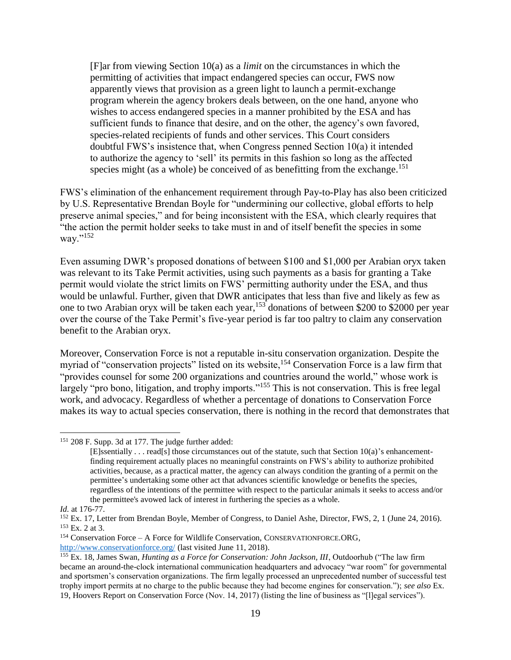[F]ar from viewing Section 10(a) as a *limit* on the circumstances in which the permitting of activities that impact endangered species can occur, FWS now apparently views that provision as a green light to launch a permit-exchange program wherein the agency brokers deals between, on the one hand, anyone who wishes to access endangered species in a manner prohibited by the ESA and has sufficient funds to finance that desire, and on the other, the agency's own favored, species-related recipients of funds and other services. This Court considers doubtful FWS's insistence that, when Congress penned Section 10(a) it intended to authorize the agency to 'sell' its permits in this fashion so long as the affected species might (as a whole) be conceived of as benefitting from the exchange.<sup>151</sup>

FWS's elimination of the enhancement requirement through Pay-to-Play has also been criticized by U.S. Representative Brendan Boyle for "undermining our collective, global efforts to help preserve animal species," and for being inconsistent with the ESA, which clearly requires that "the action the permit holder seeks to take must in and of itself benefit the species in some way."<sup>152</sup>

Even assuming DWR's proposed donations of between \$100 and \$1,000 per Arabian oryx taken was relevant to its Take Permit activities, using such payments as a basis for granting a Take permit would violate the strict limits on FWS' permitting authority under the ESA, and thus would be unlawful. Further, given that DWR anticipates that less than five and likely as few as one to two Arabian oryx will be taken each year,<sup>153</sup> donations of between \$200 to \$2000 per year over the course of the Take Permit's five-year period is far too paltry to claim any conservation benefit to the Arabian oryx.

Moreover, Conservation Force is not a reputable in-situ conservation organization. Despite the myriad of "conservation projects" listed on its website,<sup>154</sup> Conservation Force is a law firm that "provides counsel for some 200 organizations and countries around the world," whose work is largely "pro bono, litigation, and trophy imports."<sup>155</sup> This is not conservation. This is free legal work, and advocacy. Regardless of whether a percentage of donations to Conservation Force makes its way to actual species conservation, there is nothing in the record that demonstrates that

l

<sup>151</sup> 208 F. Supp. 3d at 177. The judge further added:

 $[E]$ ssentially . . . read[s] those circumstances out of the statute, such that Section 10(a)'s enhancementfinding requirement actually places no meaningful constraints on FWS's ability to authorize prohibited activities, because, as a practical matter, the agency can always condition the granting of a permit on the permittee's undertaking some other act that advances scientific knowledge or benefits the species, regardless of the intentions of the permittee with respect to the particular animals it seeks to access and/or the permittee's avowed lack of interest in furthering the species as a whole.

*Id.* at 176-77.

<sup>&</sup>lt;sup>152</sup> Ex. 17, Letter from Brendan Boyle, Member of Congress, to Daniel Ashe, Director, FWS, 2, 1 (June 24, 2016). <sup>153</sup> Ex. 2 at 3.

<sup>154</sup> Conservation Force – A Force for Wildlife Conservation, CONSERVATIONFORCE.ORG,

<http://www.conservationforce.org/> (last visited June 11, 2018).

<sup>155</sup> Ex. 18, James Swan*, Hunting as a Force for Conservation: John Jackson, III*, Outdoorhub ("The law firm became an around-the-clock international communication headquarters and advocacy "war room" for governmental and sportsmen's conservation organizations. The firm legally processed an unprecedented number of successful test trophy import permits at no charge to the public because they had become engines for conservation."); *see also* Ex. 19, Hoovers Report on Conservation Force (Nov. 14, 2017) (listing the line of business as "[l]egal services").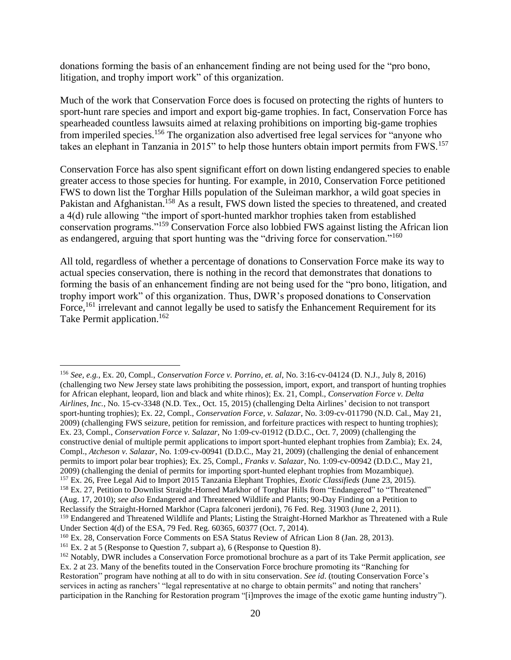donations forming the basis of an enhancement finding are not being used for the "pro bono, litigation, and trophy import work" of this organization.

Much of the work that Conservation Force does is focused on protecting the rights of hunters to sport-hunt rare species and import and export big-game trophies. In fact, Conservation Force has spearheaded countless lawsuits aimed at relaxing prohibitions on importing big-game trophies from imperiled species.<sup>156</sup> The organization also advertised free legal services for "anyone who takes an elephant in Tanzania in 2015" to help those hunters obtain import permits from FWS.<sup>157</sup>

Conservation Force has also spent significant effort on down listing endangered species to enable greater access to those species for hunting. For example, in 2010, Conservation Force petitioned FWS to down list the Torghar Hills population of the Suleiman markhor, a wild goat species in Pakistan and Afghanistan.<sup>158</sup> As a result, FWS down listed the species to threatened, and created a 4(d) rule allowing "the import of sport-hunted markhor trophies taken from established conservation programs."<sup>159</sup> Conservation Force also lobbied FWS against listing the African lion as endangered, arguing that sport hunting was the "driving force for conservation."<sup>160</sup>

All told, regardless of whether a percentage of donations to Conservation Force make its way to actual species conservation, there is nothing in the record that demonstrates that donations to forming the basis of an enhancement finding are not being used for the "pro bono, litigation, and trophy import work" of this organization. Thus, DWR's proposed donations to Conservation Force,<sup>161</sup> irrelevant and cannot legally be used to satisfy the Enhancement Requirement for its Take Permit application.<sup>162</sup>

 $\overline{\phantom{a}}$ <sup>156</sup> *See, e.g.*, Ex. 20, Compl., *Conservation Force v. Porrino, et. al*, No. 3:16-cv-04124 (D. N.J., July 8, 2016) (challenging two New Jersey state laws prohibiting the possession, import, export, and transport of hunting trophies for African elephant, leopard, lion and black and white rhinos); Ex. 21, Compl., *Conservation Force v. Delta Airlines, Inc.*, No. 15-cv-3348 (N.D. Tex., Oct. 15, 2015) (challenging Delta Airlines' decision to not transport sport-hunting trophies); Ex. 22, Compl., *Conservation Force, v. Salazar*, No. 3:09-cv-011790 (N.D. Cal., May 21, 2009) (challenging FWS seizure, petition for remission, and forfeiture practices with respect to hunting trophies); Ex. 23, Compl., *Conservation Force v. Salazar*, No 1:09-cv-01912 (D.D.C., Oct. 7, 2009) (challenging the constructive denial of multiple permit applications to import sport-hunted elephant trophies from Zambia); Ex. 24, Compl., *Atcheson v. Salazar*, No. 1:09-cv-00941 (D.D.C., May 21, 2009) (challenging the denial of enhancement permits to import polar bear trophies); Ex. 25, Compl., *Franks v. Salazar*, No. 1:09-cv-00942 (D.D.C., May 21, 2009) (challenging the denial of permits for importing sport-hunted elephant trophies from Mozambique). <sup>157</sup> Ex. 26, Free Legal Aid to Import 2015 Tanzania Elephant Trophies, *Exotic Classifieds* (June 23, 2015). <sup>158</sup> Ex. 27, Petition to Downlist Straight-Horned Markhor of Torghar Hills from "Endangered" to "Threatened" (Aug. 17, 2010); *see also* Endangered and Threatened Wildlife and Plants; 90-Day Finding on a Petition to Reclassify the Straight-Horned Markhor (Capra falconeri jerdoni), 76 Fed. Reg. 31903 (June 2, 2011).

<sup>&</sup>lt;sup>159</sup> Endangered and Threatened Wildlife and Plants; Listing the Straight-Horned Markhor as Threatened with a Rule Under Section 4(d) of the ESA, 79 Fed. Reg. 60365, 60377 (Oct. 7, 2014).

<sup>160</sup> Ex. 28, Conservation Force Comments on ESA Status Review of African Lion 8 (Jan. 28, 2013).

<sup>161</sup> Ex. 2 at 5 (Response to Question 7, subpart a), 6 (Response to Question 8).

<sup>162</sup> Notably, DWR includes a Conservation Force promotional brochure as a part of its Take Permit application, *see* Ex. 2 at 23. Many of the benefits touted in the Conservation Force brochure promoting its "Ranching for Restoration" program have nothing at all to do with in situ conservation. *See id*. (touting Conservation Force's services in acting as ranchers' "legal representative at no charge to obtain permits" and noting that ranchers' participation in the Ranching for Restoration program "[i]mproves the image of the exotic game hunting industry").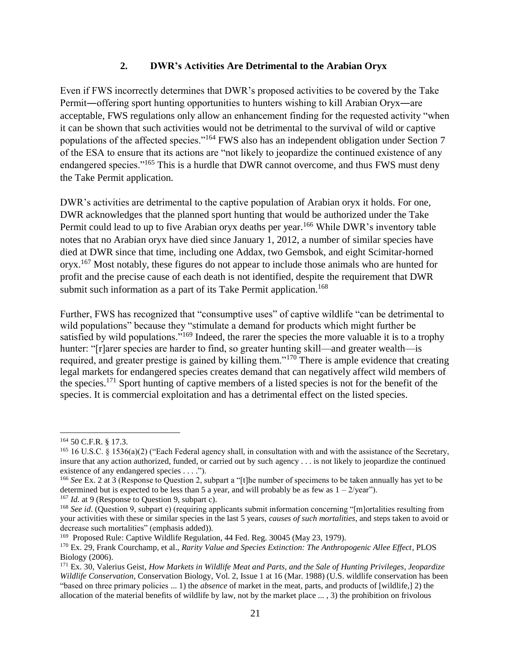#### **2. DWR's Activities Are Detrimental to the Arabian Oryx**

Even if FWS incorrectly determines that DWR's proposed activities to be covered by the Take Permit―offering sport hunting opportunities to hunters wishing to kill Arabian Oryx―are acceptable, FWS regulations only allow an enhancement finding for the requested activity "when it can be shown that such activities would not be detrimental to the survival of wild or captive populations of the affected species."<sup>164</sup> FWS also has an independent obligation under Section 7 of the ESA to ensure that its actions are "not likely to jeopardize the continued existence of any endangered species."<sup>165</sup> This is a hurdle that DWR cannot overcome, and thus FWS must deny the Take Permit application.

DWR's activities are detrimental to the captive population of Arabian oryx it holds. For one, DWR acknowledges that the planned sport hunting that would be authorized under the Take Permit could lead to up to five Arabian oryx deaths per year.<sup>166</sup> While DWR's inventory table notes that no Arabian oryx have died since January 1, 2012, a number of similar species have died at DWR since that time, including one Addax, two Gemsbok, and eight Scimitar-horned oryx.<sup>167</sup> Most notably, these figures do not appear to include those animals who are hunted for profit and the precise cause of each death is not identified, despite the requirement that DWR submit such information as a part of its Take Permit application.<sup>168</sup>

Further, FWS has recognized that "consumptive uses" of captive wildlife "can be detrimental to wild populations" because they "stimulate a demand for products which might further be satisfied by wild populations."<sup>169</sup> Indeed, the rarer the species the more valuable it is to a trophy hunter: "[r]arer species are harder to find, so greater hunting skill—and greater wealth—is required, and greater prestige is gained by killing them." $170$  There is ample evidence that creating legal markets for endangered species creates demand that can negatively affect wild members of the species.<sup>171</sup> Sport hunting of captive members of a listed species is not for the benefit of the species. It is commercial exploitation and has a detrimental effect on the listed species.

l

<sup>164</sup> 50 C.F.R. § 17.3.

<sup>&</sup>lt;sup>165</sup> 16 U.S.C. § 1536(a)(2) ("Each Federal agency shall, in consultation with and with the assistance of the Secretary, insure that any action authorized, funded, or carried out by such agency . . . is not likely to jeopardize the continued existence of any endangered species . . . .").

<sup>166</sup> *See* Ex. 2 at 3 (Response to Question 2, subpart a "[t]he number of specimens to be taken annually has yet to be determined but is expected to be less than 5 a year, and will probably be as few as  $1 - 2$ /year").

<sup>&</sup>lt;sup>167</sup> *Id.* at 9 (Response to Question 9, subpart c).

<sup>&</sup>lt;sup>168</sup> See id. (Question 9, subpart e) (requiring applicants submit information concerning "[m]ortalities resulting from your activities with these or similar species in the last 5 years, *causes of such mortalities*, and steps taken to avoid or decrease such mortalities" (emphasis added)).

<sup>&</sup>lt;sup>169</sup> Proposed Rule: Captive Wildlife Regulation, 44 Fed. Reg. 30045 (May 23, 1979).

<sup>170</sup> Ex. 29, Frank Courchamp, et al., *Rarity Value and Species Extinction: The Anthropogenic Allee Effect*, PLOS Biology (2006).

<sup>171</sup> Ex. 30, Valerius Geist, *How Markets in Wildlife Meat and Parts, and the Sale of Hunting Privileges, Jeopardize Wildlife Conservation,* Conservation Biology, Vol. 2, Issue 1 at 16 (Mar. 1988) (U.S. wildlife conservation has been "based on three primary policies ... 1) the *absence* of market in the meat, parts, and products of [wildlife,] 2) the allocation of the material benefits of wildlife by law, not by the market place ... , 3) the prohibition on frivolous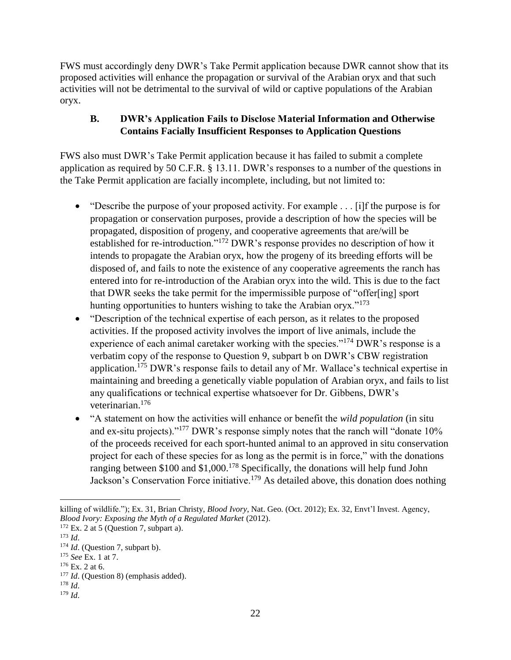FWS must accordingly deny DWR's Take Permit application because DWR cannot show that its proposed activities will enhance the propagation or survival of the Arabian oryx and that such activities will not be detrimental to the survival of wild or captive populations of the Arabian oryx.

## **B. DWR's Application Fails to Disclose Material Information and Otherwise Contains Facially Insufficient Responses to Application Questions**

FWS also must DWR's Take Permit application because it has failed to submit a complete application as required by 50 C.F.R. § 13.11. DWR's responses to a number of the questions in the Take Permit application are facially incomplete, including, but not limited to:

- "Describe the purpose of your proposed activity. For example . . . [i]f the purpose is for propagation or conservation purposes, provide a description of how the species will be propagated, disposition of progeny, and cooperative agreements that are/will be established for re-introduction."<sup>172</sup> DWR's response provides no description of how it intends to propagate the Arabian oryx, how the progeny of its breeding efforts will be disposed of, and fails to note the existence of any cooperative agreements the ranch has entered into for re-introduction of the Arabian oryx into the wild. This is due to the fact that DWR seeks the take permit for the impermissible purpose of "offer[ing] sport hunting opportunities to hunters wishing to take the Arabian oryx."<sup>173</sup>
- "Description of the technical expertise of each person, as it relates to the proposed activities. If the proposed activity involves the import of live animals, include the experience of each animal caretaker working with the species."<sup>174</sup> DWR's response is a verbatim copy of the response to Question 9, subpart b on DWR's CBW registration application.<sup>175</sup> DWR's response fails to detail any of Mr. Wallace's technical expertise in maintaining and breeding a genetically viable population of Arabian oryx, and fails to list any qualifications or technical expertise whatsoever for Dr. Gibbens, DWR's veterinarian.<sup>176</sup>
- "A statement on how the activities will enhance or benefit the *wild population* (in situ and ex-situ projects)."<sup>177</sup> DWR's response simply notes that the ranch will "donate 10% of the proceeds received for each sport-hunted animal to an approved in situ conservation project for each of these species for as long as the permit is in force," with the donations ranging between \$100 and \$1,000.<sup>178</sup> Specifically, the donations will help fund John Jackson's Conservation Force initiative.<sup>179</sup> As detailed above, this donation does nothing

 $\overline{\phantom{a}}$ killing of wildlife."); Ex. 31, Brian Christy, *Blood Ivory*, Nat. Geo. (Oct. 2012); Ex. 32, Envt'l Invest. Agency, *Blood Ivory: Exposing the Myth of a Regulated Market* (2012).

 $172$  Ex. 2 at 5 (Question 7, subpart a).

<sup>173</sup> *Id*.

<sup>&</sup>lt;sup>174</sup> *Id.* (Ouestion 7, subpart b).

<sup>175</sup> *See* Ex. 1 at 7.

<sup>176</sup> Ex. 2 at 6.

<sup>&</sup>lt;sup>177</sup> *Id.* (Question 8) (emphasis added).

<sup>178</sup> *Id*. <sup>179</sup> *Id*.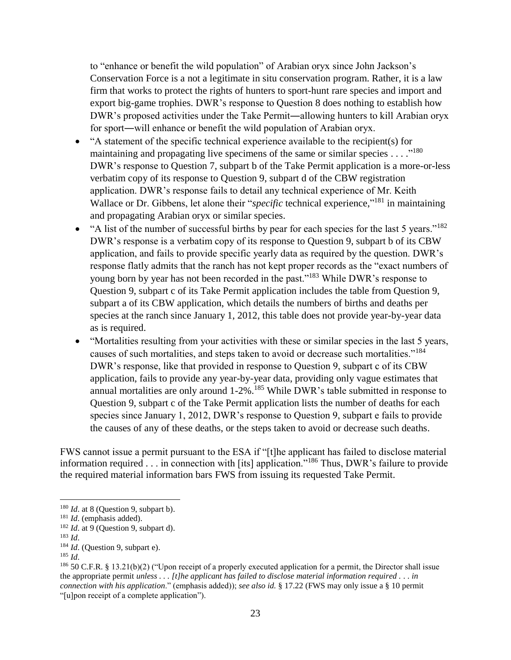to "enhance or benefit the wild population" of Arabian oryx since John Jackson's Conservation Force is a not a legitimate in situ conservation program. Rather, it is a law firm that works to protect the rights of hunters to sport-hunt rare species and import and export big-game trophies. DWR's response to Question 8 does nothing to establish how DWR's proposed activities under the Take Permit―allowing hunters to kill Arabian oryx for sport―will enhance or benefit the wild population of Arabian oryx.

- "A statement of the specific technical experience available to the recipient(s) for maintaining and propagating live specimens of the same or similar species  $\dots$ ."<sup>180</sup> DWR's response to Question 7, subpart b of the Take Permit application is a more-or-less verbatim copy of its response to Question 9, subpart d of the CBW registration application. DWR's response fails to detail any technical experience of Mr. Keith Wallace or Dr. Gibbens, let alone their "*specific* technical experience,"<sup>181</sup> in maintaining and propagating Arabian oryx or similar species.
- $\bullet$  "A list of the number of successful births by pear for each species for the last 5 years."<sup>182</sup> DWR's response is a verbatim copy of its response to Question 9, subpart b of its CBW application, and fails to provide specific yearly data as required by the question. DWR's response flatly admits that the ranch has not kept proper records as the "exact numbers of young born by year has not been recorded in the past."<sup>183</sup> While DWR's response to Question 9, subpart c of its Take Permit application includes the table from Question 9, subpart a of its CBW application, which details the numbers of births and deaths per species at the ranch since January 1, 2012, this table does not provide year-by-year data as is required.
- "Mortalities resulting from your activities with these or similar species in the last 5 years, causes of such mortalities, and steps taken to avoid or decrease such mortalities."<sup>184</sup> DWR's response, like that provided in response to Question 9, subpart c of its CBW application, fails to provide any year-by-year data, providing only vague estimates that annual mortalities are only around 1-2%.<sup>185</sup> While DWR's table submitted in response to Question 9, subpart c of the Take Permit application lists the number of deaths for each species since January 1, 2012, DWR's response to Question 9, subpart e fails to provide the causes of any of these deaths, or the steps taken to avoid or decrease such deaths.

FWS cannot issue a permit pursuant to the ESA if "[t]he applicant has failed to disclose material information required . . . in connection with [its] application."<sup>186</sup> Thus, DWR's failure to provide the required material information bars FWS from issuing its requested Take Permit.

 $\overline{\phantom{a}}$ 

<sup>185</sup> *Id*.

<sup>&</sup>lt;sup>180</sup> *Id.* at 8 (Question 9, subpart b).

<sup>181</sup> *Id*. (emphasis added).

<sup>&</sup>lt;sup>182</sup> *Id.* at 9 (Question 9, subpart d).

<sup>183</sup> *Id*.

<sup>&</sup>lt;sup>184</sup> *Id.* (Question 9, subpart e).

 $186$  50 C.F.R. § 13.21(b)(2) ("Upon receipt of a properly executed application for a permit, the Director shall issue the appropriate permit *unless . . . [t]he applicant has failed to disclose material information required . . . in connection with his application*." (emphasis added)); *see also id.* § 17.22 (FWS may only issue a § 10 permit "[u]pon receipt of a complete application").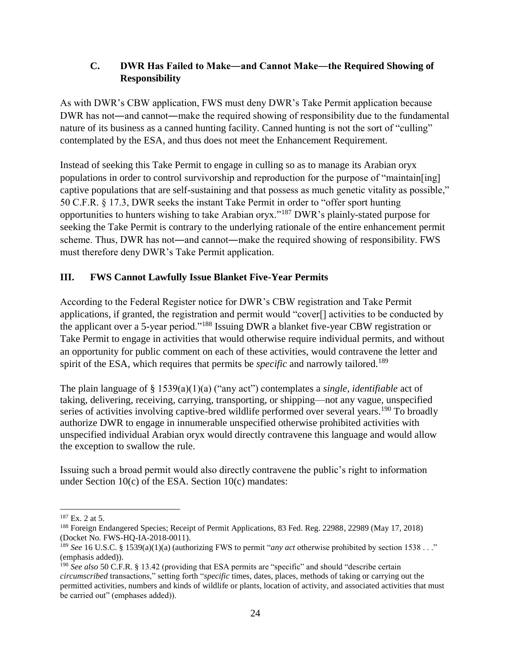# **C. DWR Has Failed to Make―and Cannot Make―the Required Showing of Responsibility**

As with DWR's CBW application, FWS must deny DWR's Take Permit application because DWR has not—and cannot—make the required showing of responsibility due to the fundamental nature of its business as a canned hunting facility. Canned hunting is not the sort of "culling" contemplated by the ESA, and thus does not meet the Enhancement Requirement.

Instead of seeking this Take Permit to engage in culling so as to manage its Arabian oryx populations in order to control survivorship and reproduction for the purpose of "maintain[ing] captive populations that are self-sustaining and that possess as much genetic vitality as possible," 50 C.F.R. § 17.3, DWR seeks the instant Take Permit in order to "offer sport hunting opportunities to hunters wishing to take Arabian oryx."<sup>187</sup> DWR's plainly-stated purpose for seeking the Take Permit is contrary to the underlying rationale of the entire enhancement permit scheme. Thus, DWR has not―and cannot―make the required showing of responsibility. FWS must therefore deny DWR's Take Permit application.

# **III. FWS Cannot Lawfully Issue Blanket Five-Year Permits**

According to the Federal Register notice for DWR's CBW registration and Take Permit applications, if granted, the registration and permit would "cover[] activities to be conducted by the applicant over a 5-year period."<sup>188</sup> Issuing DWR a blanket five-year CBW registration or Take Permit to engage in activities that would otherwise require individual permits, and without an opportunity for public comment on each of these activities, would contravene the letter and spirit of the ESA, which requires that permits be *specific* and narrowly tailored.<sup>189</sup>

The plain language of § 1539(a)(1)(a) ("any act") contemplates a *single, identifiable* act of taking, delivering, receiving, carrying, transporting, or shipping—not any vague, unspecified series of activities involving captive-bred wildlife performed over several years.<sup>190</sup> To broadly authorize DWR to engage in innumerable unspecified otherwise prohibited activities with unspecified individual Arabian oryx would directly contravene this language and would allow the exception to swallow the rule.

Issuing such a broad permit would also directly contravene the public's right to information under Section 10(c) of the ESA. Section 10(c) mandates:

 $\overline{\phantom{a}}$ <sup>187</sup> Ex. 2 at 5.

<sup>188</sup> Foreign Endangered Species; Receipt of Permit Applications, 83 Fed. Reg. 22988, 22989 (May 17, 2018) (Docket No. FWS-HQ-IA-2018-0011).

<sup>189</sup> *See* 16 U.S.C. § 1539(a)(1)(a) (authorizing FWS to permit "*any act* otherwise prohibited by section 1538 . . ." (emphasis added)).

<sup>190</sup> *See also* 50 C.F.R. § 13.42 (providing that ESA permits are "specific" and should "describe certain *circumscribed* transactions," setting forth "*specific* times, dates, places, methods of taking or carrying out the permitted activities, numbers and kinds of wildlife or plants, location of activity, and associated activities that must be carried out" (emphases added)).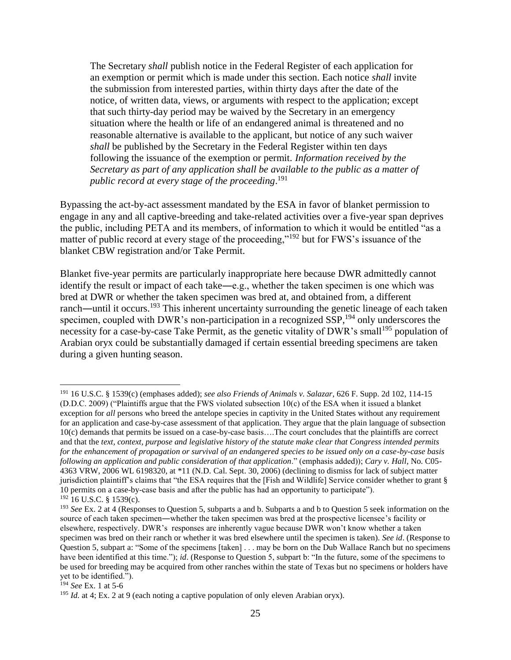The Secretary *shall* publish notice in the Federal Register of each application for an exemption or permit which is made under this section. Each notice *shall* invite the submission from interested parties, within thirty days after the date of the notice, of written data, views, or arguments with respect to the application; except that such thirty-day period may be waived by the Secretary in an emergency situation where the health or life of an endangered animal is threatened and no reasonable alternative is available to the applicant, but notice of any such waiver *shall* be published by the Secretary in the Federal Register within ten days following the issuance of the exemption or permit. *Information received by the Secretary as part of any application shall be available to the public as a matter of public record at every stage of the proceeding*. 191

Bypassing the act-by-act assessment mandated by the ESA in favor of blanket permission to engage in any and all captive-breeding and take-related activities over a five-year span deprives the public, including PETA and its members, of information to which it would be entitled "as a matter of public record at every stage of the proceeding,"<sup>192</sup> but for FWS's issuance of the blanket CBW registration and/or Take Permit.

Blanket five-year permits are particularly inappropriate here because DWR admittedly cannot identify the result or impact of each take―e.g., whether the taken specimen is one which was bred at DWR or whether the taken specimen was bred at, and obtained from, a different ranch—until it occurs.<sup>193</sup> This inherent uncertainty surrounding the genetic lineage of each taken specimen, coupled with DWR's non-participation in a recognized SSP,<sup>194</sup> only underscores the necessity for a case-by-case Take Permit, as the genetic vitality of DWR's small<sup>195</sup> population of Arabian oryx could be substantially damaged if certain essential breeding specimens are taken during a given hunting season.

<sup>191</sup> 16 U.S.C. § 1539(c) (emphases added); *see also Friends of Animals v. Salazar*, 626 F. Supp. 2d 102, 114-15 (D.D.C. 2009) ("Plaintiffs argue that the FWS violated subsection 10(c) of the ESA when it issued a blanket exception for *all* persons who breed the antelope species in captivity in the United States without any requirement for an application and case-by-case assessment of that application. They argue that the plain language of subsection 10(c) demands that permits be issued on a case-by-case basis….The court concludes that the plaintiffs are correct and that the *text, context, purpose and legislative history of the statute make clear that Congress intended permits for the enhancement of propagation or survival of an endangered species to be issued only on a case-by-case basis following an application and public consideration of that application*." (emphasis added)); *Cary v. Hall*, No. C05- 4363 VRW, 2006 WL 6198320, at \*11 (N.D. Cal. Sept. 30, 2006) (declining to dismiss for lack of subject matter jurisdiction plaintiff's claims that "the ESA requires that the [Fish and Wildlife] Service consider whether to grant § 10 permits on a case-by-case basis and after the public has had an opportunity to participate").  $192$  16 U.S.C. § 1539(c).

<sup>193</sup> *See* Ex. 2 at 4 (Responses to Question 5, subparts a and b. Subparts a and b to Question 5 seek information on the source of each taken specimen―whether the taken specimen was bred at the prospective licensee's facility or elsewhere, respectively. DWR's responses are inherently vague because DWR won't know whether a taken specimen was bred on their ranch or whether it was bred elsewhere until the specimen is taken). *See id*. (Response to Question 5, subpart a: "Some of the specimens [taken] . . . may be born on the Dub Wallace Ranch but no specimens have been identified at this time."); *id.* (Response to Question 5, subpart b: "In the future, some of the specimens to be used for breeding may be acquired from other ranches within the state of Texas but no specimens or holders have yet to be identified.").

<sup>194</sup> *See* Ex. 1 at 5-6

<sup>&</sup>lt;sup>195</sup> *Id.* at 4; Ex. 2 at 9 (each noting a captive population of only eleven Arabian oryx).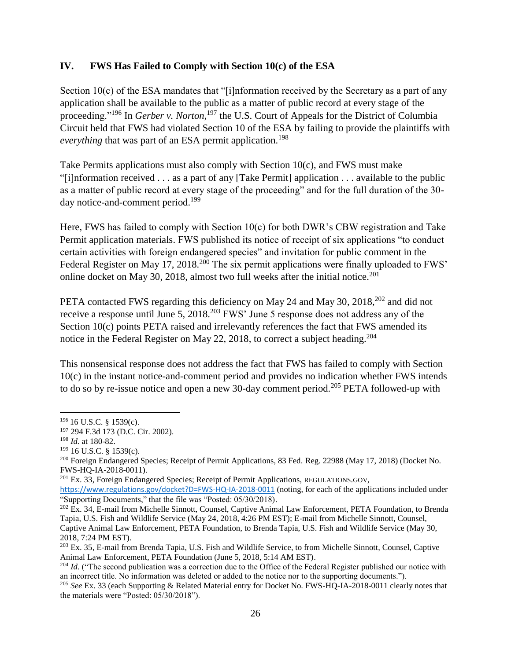### **IV. FWS Has Failed to Comply with Section 10(c) of the ESA**

Section 10(c) of the ESA mandates that "[i]nformation received by the Secretary as a part of any application shall be available to the public as a matter of public record at every stage of the proceeding."<sup>196</sup> In *Gerber v. Norton*, <sup>197</sup> the U.S. Court of Appeals for the District of Columbia Circuit held that FWS had violated Section 10 of the ESA by failing to provide the plaintiffs with *everything that was part of an ESA permit application.*<sup>198</sup>

Take Permits applications must also comply with Section 10(c), and FWS must make "[i]nformation received . . . as a part of any [Take Permit] application . . . available to the public as a matter of public record at every stage of the proceeding" and for the full duration of the 30 day notice-and-comment period.<sup>199</sup>

Here, FWS has failed to comply with Section 10(c) for both DWR's CBW registration and Take Permit application materials. FWS published its notice of receipt of six applications "to conduct certain activities with foreign endangered species" and invitation for public comment in the Federal Register on May 17, 2018.<sup>200</sup> The six permit applications were finally uploaded to FWS' online docket on May 30, 2018, almost two full weeks after the initial notice.<sup>201</sup>

PETA contacted FWS regarding this deficiency on May 24 and May 30, 2018,<sup>202</sup> and did not receive a response until June 5, 2018<sup>203</sup> FWS' June 5 response does not address any of the Section 10(c) points PETA raised and irrelevantly references the fact that FWS amended its notice in the Federal Register on May 22, 2018, to correct a subject heading.<sup>204</sup>

This nonsensical response does not address the fact that FWS has failed to comply with Section 10(c) in the instant notice-and-comment period and provides no indication whether FWS intends to do so by re-issue notice and open a new 30-day comment period.<sup>205</sup> PETA followed-up with

l

<sup>196</sup> 16 U.S.C. § 1539(c).

<sup>197</sup> 294 F.3d 173 (D.C. Cir. 2002).

<sup>198</sup> *Id.* at 180-82.

 $199$  16 U.S.C. § 1539(c).

<sup>&</sup>lt;sup>200</sup> Foreign Endangered Species; Receipt of Permit Applications, 83 Fed. Reg. 22988 (May 17, 2018) (Docket No. FWS-HQ-IA-2018-0011).

<sup>201</sup> Ex. 33, Foreign Endangered Species; Receipt of Permit Applications, REGULATIONS.GOV,

<https://www.regulations.gov/docket?D=FWS-HQ-IA-2018-0011> (noting, for each of the applications included under "Supporting Documents," that the file was "Posted: 05/30/2018).

<sup>&</sup>lt;sup>202</sup> Ex. 34, E-mail from Michelle Sinnott, Counsel, Captive Animal Law Enforcement, PETA Foundation, to Brenda Tapia, U.S. Fish and Wildlife Service (May 24, 2018, 4:26 PM EST); E-mail from Michelle Sinnott, Counsel, Captive Animal Law Enforcement, PETA Foundation, to Brenda Tapia, U.S. Fish and Wildlife Service (May 30, 2018, 7:24 PM EST).

<sup>&</sup>lt;sup>203</sup> Ex. 35, E-mail from Brenda Tapia, U.S. Fish and Wildlife Service, to from Michelle Sinnott, Counsel, Captive Animal Law Enforcement, PETA Foundation (June 5, 2018, 5:14 AM EST).

<sup>&</sup>lt;sup>204</sup> *Id.* ("The second publication was a correction due to the Office of the Federal Register published our notice with an incorrect title. No information was deleted or added to the notice nor to the supporting documents.").

<sup>205</sup> *See* Ex. 33 (each Supporting & Related Material entry for Docket No. FWS-HQ-IA-2018-0011 clearly notes that the materials were "Posted: 05/30/2018").